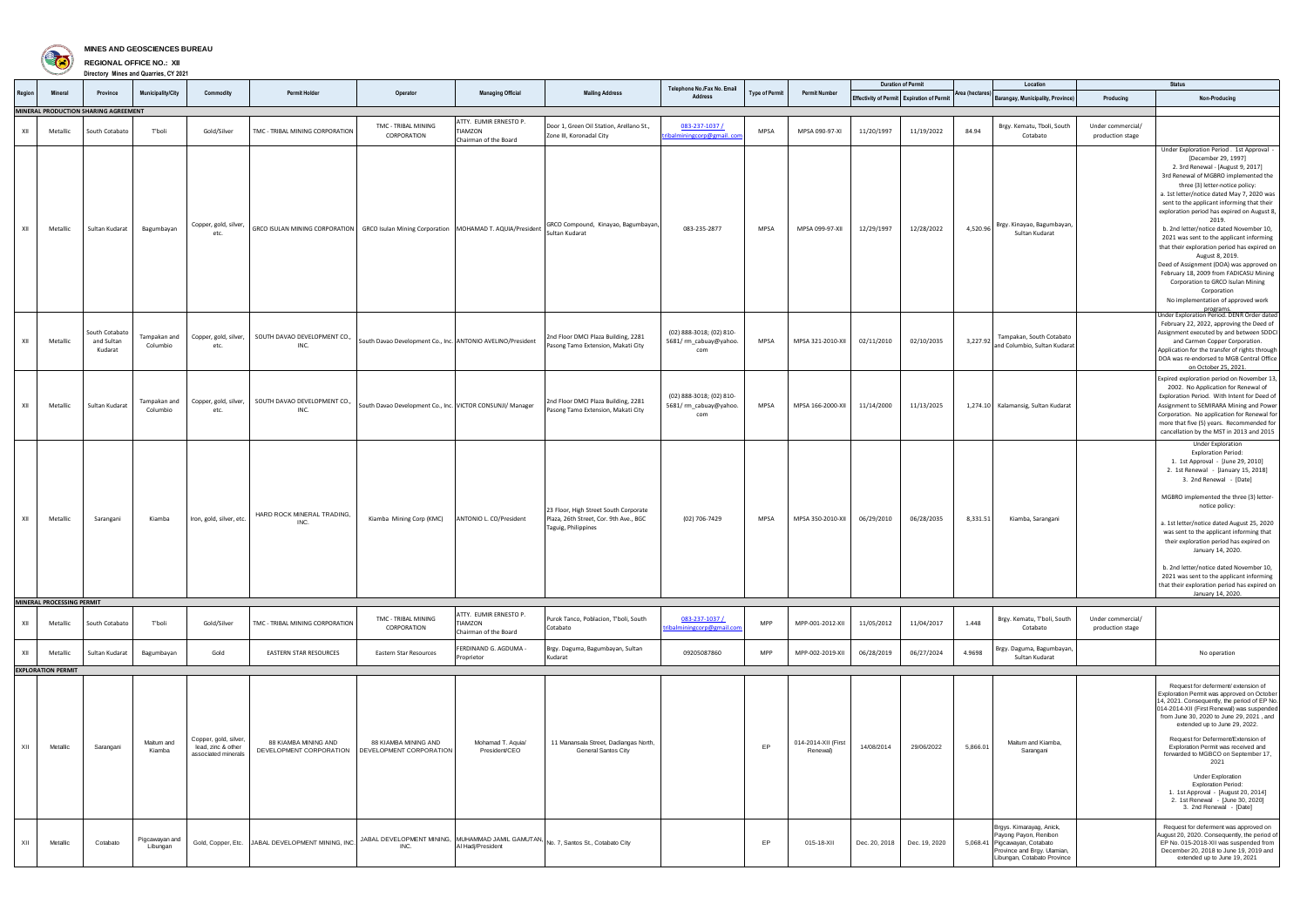

## **MINES AND GEOSCIENCES BUREAU**

**REGIONAL OFFICE NO.: XII Directory Mines and Quarries, CY 2021**

|        |                           |                                         |                            |                                                                    |                                                                                              |                                                                                            |                                                                   |                                                                                                        | Telephone No./Fax No. Email                              |                       |                                 |            | <b>Duration of Permit</b>                  |                 | Location                                                                                                                                         |                                       | <b>Status</b>                                                                                                                                                                                                                                                                                                                                                                                                                                                                                                                                                                                                                                                                |
|--------|---------------------------|-----------------------------------------|----------------------------|--------------------------------------------------------------------|----------------------------------------------------------------------------------------------|--------------------------------------------------------------------------------------------|-------------------------------------------------------------------|--------------------------------------------------------------------------------------------------------|----------------------------------------------------------|-----------------------|---------------------------------|------------|--------------------------------------------|-----------------|--------------------------------------------------------------------------------------------------------------------------------------------------|---------------------------------------|------------------------------------------------------------------------------------------------------------------------------------------------------------------------------------------------------------------------------------------------------------------------------------------------------------------------------------------------------------------------------------------------------------------------------------------------------------------------------------------------------------------------------------------------------------------------------------------------------------------------------------------------------------------------------|
| Region | <b>Mineral</b>            | <b>Province</b>                         | <b>Municipality/City</b>   | Commodity                                                          | <b>Permit Holder</b>                                                                         | Operator                                                                                   | <b>Managing Official</b>                                          | <b>Mailing Address</b>                                                                                 | <b>Address</b>                                           | <b>Type of Permit</b> | <b>Permit Number</b>            |            | Effectivity of Permit Expiration of Permit | Area (hectares) | Barangay, Municipality, Province)                                                                                                                | Producing                             | Non-Producing                                                                                                                                                                                                                                                                                                                                                                                                                                                                                                                                                                                                                                                                |
|        |                           | MINERAL PRODUCTION SHARING AGREEMENT    |                            |                                                                    |                                                                                              |                                                                                            |                                                                   |                                                                                                        |                                                          |                       |                                 |            |                                            |                 |                                                                                                                                                  |                                       |                                                                                                                                                                                                                                                                                                                                                                                                                                                                                                                                                                                                                                                                              |
| XII    | Metallic                  | South Cotabato                          | T'boli                     | Gold/Silver                                                        | TMC - TRIBAL MINING CORPORATION                                                              | TMC - TRIBAL MINING<br>CORPORATION                                                         | ATTY. EUMIR ERNESTO P.<br><b>TIAMZON</b><br>Chairman of the Board | Door 1, Green Oil Station, Arellano St.,<br>Zone III, Koronadal City                                   | 083-237-1037 /<br>ribalminingcorp@gmail.cor              | <b>MPSA</b>           | MPSA 090-97-XI                  | 11/20/1997 | 11/19/2022                                 | 84.94           | Brgy. Kematu, Tboli, South<br>Cotabato                                                                                                           | Under commercial/<br>production stage |                                                                                                                                                                                                                                                                                                                                                                                                                                                                                                                                                                                                                                                                              |
| XII    | Metallic                  | Sultan Kudarat                          | Bagumbayan                 | Copper, gold, silver,<br>etc.                                      | GRCO ISULAN MINING CORPORATION   GRCO Isulan Mining Corporation   MOHAMAD T. AQUIA/President |                                                                                            |                                                                   | GRCO Compound, Kinayao, Bagumbayan<br>Sultan Kudarat                                                   | 083-235-2877                                             | <b>MPSA</b>           | MPSA 099-97-XII                 | 12/29/1997 | 12/28/2022                                 |                 | 4,520.96   Brgy. Kinayao, Bagumbayan, I<br>Sultan Kudarat                                                                                        |                                       | Under Exploration Period . 1st Approval<br>[December 29, 1997]<br>2. 3rd Renewal - [August 9, 2017]<br>3rd Renewal of MGBRO implemented the<br>three (3) letter-notice policy:<br>a. 1st letter/notice dated May 7, 2020 was<br>sent to the applicant informing that their<br>exploration period has expired on August 8,<br>2019.<br>b. 2nd letter/notice dated November 10,<br>2021 was sent to the applicant informing<br>that their exploration period has expired on<br>August 8, 2019.<br>Deed of Assignment (DOA) was approved on<br>February 18, 2009 from FADICASU Mining<br>Corporation to GRCO Isulan Mining<br>Corporation<br>No implementation of approved work |
| XII    | Metallic                  | South Cotabato<br>and Sultan<br>Kudarat | Tampakan and<br>Columbio   | Copper, gold, silver,<br>etc.                                      | SOUTH DAVAO DEVELOPMENT CO.,<br>INC.                                                         | South Davao Development Co., Inc. ANTONIO AVELINO/President                                |                                                                   | 2nd Floor DMCI Plaza Building, 2281<br>Pasong Tamo Extension, Makati City                              | (02) 888-3018; (02) 810-<br>5681/rm_cabuay@yahoo.<br>com | <b>MPSA</b>           | MPSA 321-2010-XII               | 02/11/2010 | 02/10/2035                                 | 3,227.92        | Tampakan, South Cotabato<br>and Columbio, Sultan Kudarat                                                                                         |                                       | programs.<br>Under Exploration Period. DENR Order dated<br>February 22, 2022, approving the Deed of<br>Assignment executed by and between SDDCI<br>and Carmen Copper Corporation.<br>Application for the transfer of rights through<br>DOA was re-endorsed to MGB Central Office<br>on October 25, 2021.                                                                                                                                                                                                                                                                                                                                                                     |
| XII    | Metallic                  | Sultan Kudarat                          | Tampakan and<br>Columbio   | Copper, gold, silver,<br>etc.                                      | SOUTH DAVAO DEVELOPMENT CO.,<br>INC.                                                         | South Davao Development Co., Inc. VICTOR CONSUNJI/ Manager                                 |                                                                   | 2nd Floor DMCI Plaza Building, 2281<br>Pasong Tamo Extension, Makati City                              | (02) 888-3018; (02) 810-<br>5681/rm_cabuay@yahoo.<br>com | <b>MPSA</b>           | MPSA 166-2000-XII               | 11/14/2000 | 11/13/2025                                 |                 | 1,274.10 Kalamansig, Sultan Kudarat                                                                                                              |                                       | Expired exploration period on November 13,<br>2002. No Application for Renewal of<br>Exploration Period. With Intent for Deed of<br>Assignment to SEMIRARA Mining and Power<br>Corporation. No application for Renewal for<br>more that five (5) years. Recommended for<br>cancellation by the MST in 2013 and 2015                                                                                                                                                                                                                                                                                                                                                          |
| XII    | Metallic                  | Sarangani                               | Kiamba                     | Iron, gold, silver, etc.                                           | HARD ROCK MINERAL TRADING,<br>INC.                                                           | Kiamba Mining Corp (KMC)                                                                   | ANTONIO L. CO/President                                           | 23 Floor, High Street South Corporate<br>Plaza, 26th Street, Cor. 9th Ave., BGC<br>Taguig, Philippines | (02) 706-7429                                            | <b>MPSA</b>           | MPSA 350-2010-XII               | 06/29/2010 | 06/28/2035                                 | 8,331.51        | Kiamba, Sarangani                                                                                                                                |                                       | <b>Under Exploration</b><br><b>Exploration Period:</b><br>1. 1st Approval - [June 29, 2010]<br>2. 1st Renewal - [January 15, 2018]<br>3. 2nd Renewal - [Date]<br>MGBRO implemented the three (3) letter-<br>notice policy:<br>a. 1st letter/notice dated August 25, 2020<br>was sent to the applicant informing that<br>their exploration period has expired on<br>January 14, 2020.<br>b. 2nd letter/notice dated November 10,<br>2021 was sent to the applicant informing<br>that their exploration period has expired on                                                                                                                                                  |
|        | MINERAL PROCESSING PERMIT |                                         |                            |                                                                    |                                                                                              |                                                                                            |                                                                   |                                                                                                        |                                                          |                       |                                 |            |                                            |                 |                                                                                                                                                  |                                       | January 14, 2020.                                                                                                                                                                                                                                                                                                                                                                                                                                                                                                                                                                                                                                                            |
| XII    | Metallic                  | South Cotabato                          | T'boli                     | Gold/Silver                                                        | TMC - TRIBAL MINING CORPORATION                                                              | TMC - TRIBAL MINING<br>CORPORATION                                                         | ATTY. EUMIR ERNESTO P.<br>TIAMZON<br>Chairman of the Board        | Purok Tanco, Poblacion, T'boli, South<br>Cotabato                                                      | 083-237-1037 /<br>ribalminingcorp@gmail.com              | <b>MPP</b>            | MPP-001-2012-XII                | 11/05/2012 | 11/04/2017                                 | 1.448           | Brgy. Kematu, T'boli, South<br>Cotabato                                                                                                          | Under commercial/<br>production stage |                                                                                                                                                                                                                                                                                                                                                                                                                                                                                                                                                                                                                                                                              |
| XII    | Metallic                  | Sultan Kudarat                          | Bagumbayan                 | Gold                                                               | <b>EASTERN STAR RESOURCES</b>                                                                | <b>Eastern Star Resources</b>                                                              | FERDINAND G. AGDUMA -<br>Proprietor                               | Brgy. Daguma, Bagumbayan, Sultan<br>Kudarat                                                            | 09205087860                                              | <b>MPP</b>            | MPP-002-2019-XII                | 06/28/2019 | 06/27/2024                                 | 4.9698          | Brgy. Daguma, Bagumbayan,<br>Sultan Kudarat                                                                                                      |                                       | No operation                                                                                                                                                                                                                                                                                                                                                                                                                                                                                                                                                                                                                                                                 |
|        | <b>EXPLORATION PERMIT</b> |                                         |                            |                                                                    |                                                                                              |                                                                                            |                                                                   |                                                                                                        |                                                          |                       |                                 |            |                                            |                 |                                                                                                                                                  |                                       |                                                                                                                                                                                                                                                                                                                                                                                                                                                                                                                                                                                                                                                                              |
| XII    | Metallic                  | Sarangani                               | Maitum and<br>Kiamba       | Copper, gold, silver,<br>lead, zinc & other<br>associated minerals | 88 KIAMBA MINING AND<br>DEVELOPMENT CORPORATION                                              | 88 KIAMBA MINING AND<br>DEVELOPMENT CORPORATION                                            | Mohamad T. Aquia/<br>President/CEO                                | 11 Manansala Street, Dadiangas North,<br><b>General Santos City</b>                                    |                                                          | EP                    | 014-2014-XII (First<br>Renewal) | 14/08/2014 | 29/06/2022                                 | 5,866.01        | Maitum and Kiamba,<br>Sarangani                                                                                                                  |                                       | Request for deferment/extension of<br>Exploration Permit was approved on October<br>14, 2021. Consequently, the period of EP No.<br>014-2014-XII (First Renewal) was suspended<br>from June 30, 2020 to June 29, 2021, and<br>extended up to June 29, 2022.<br>Request for Deferment/Extension of<br>Exploration Permit was received and<br>forwarded to MGBCO on September 17,<br>2021<br><b>Under Exploration</b><br><b>Exploration Period:</b><br>1. 1st Approval - [August 20, 2014]<br>2. 1st Renewal - [June 30, 2020]<br>3. 2nd Renewal - [Date]                                                                                                                      |
| XII    | Metallic                  | Cotabato                                | Pigcawayan and<br>Libungan |                                                                    | Gold, Copper, Etc. JABAL DEVELOPMENT MINING, INC.                                            | JABAL DEVELOPMENT MINING, MUHAMMAD JAMIL GAMUTAN, No. 7, Santos St., Cotabato City<br>INC. | Al Hadj/President                                                 |                                                                                                        |                                                          | EP.                   | 015-18-XII                      |            | Dec. 20, 2018 Dec. 19, 2020                |                 | Brgys. Kimarayag, Anick,<br>Payong Payon, Renibon<br>5,068.41 Pigcawayan, Cotabato<br>Province and Brgy. Ulamian,<br>Libungan, Cotabato Province |                                       | Request for deferment was approved on<br>August 20, 2020. Consequently, the period of<br>EP No. 015-2018-XII was suspended from<br>December 20, 2018 to June 19, 2019 and<br>extended up to June 19, 2021                                                                                                                                                                                                                                                                                                                                                                                                                                                                    |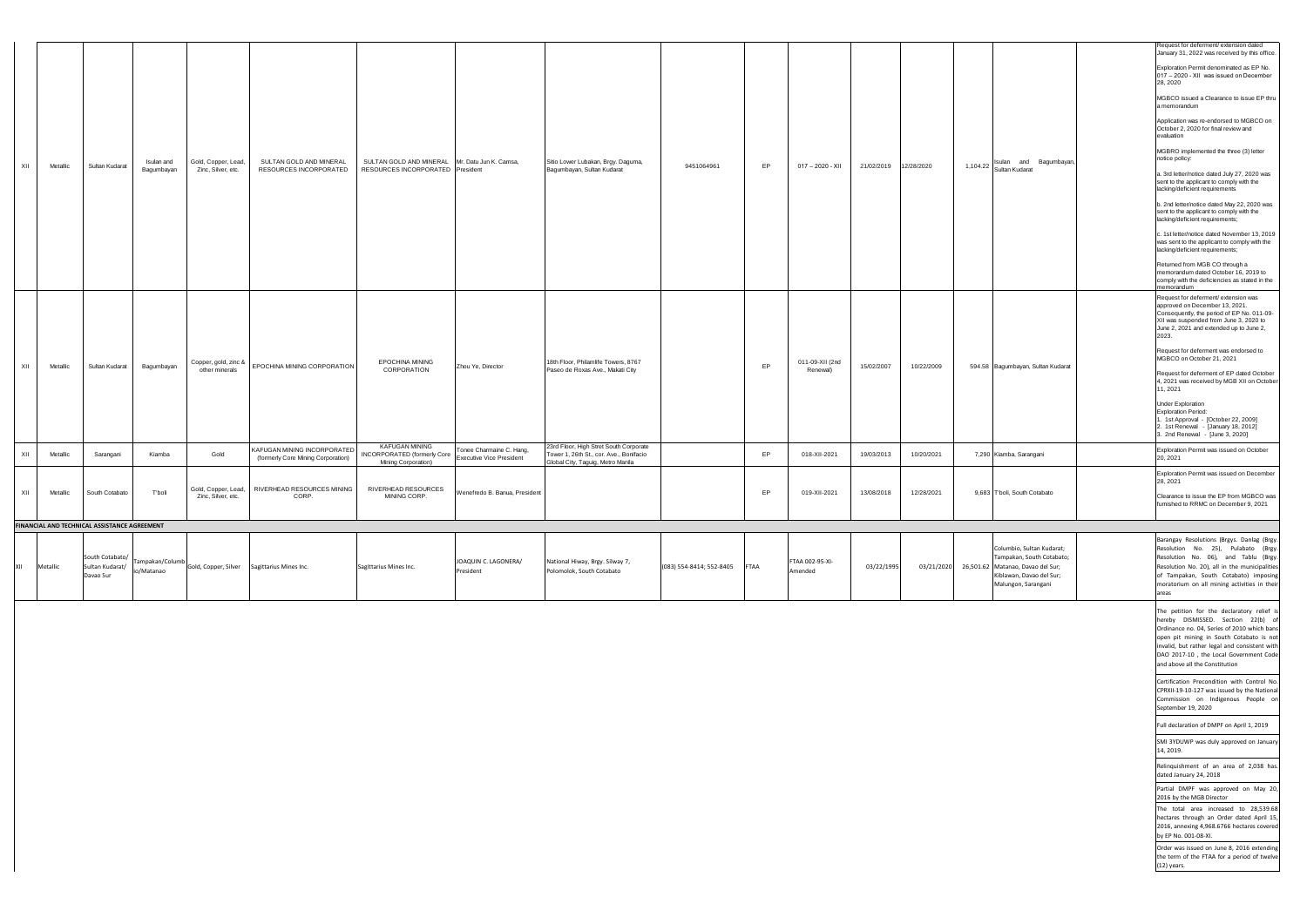|     |          |                                                 |                          |                                           |                                                                   |                                                                                    |                                                      |                                                                                                                        |                          |             |                             |            |            |                                                                                                                                                           | Request for deferment/ extension dated<br>January 31, 2022 was received by this office.                                                                                                                                                                                                                                                                                                                                                                                                                                                                                                                                                                                                                                                                                                                                                           |
|-----|----------|-------------------------------------------------|--------------------------|-------------------------------------------|-------------------------------------------------------------------|------------------------------------------------------------------------------------|------------------------------------------------------|------------------------------------------------------------------------------------------------------------------------|--------------------------|-------------|-----------------------------|------------|------------|-----------------------------------------------------------------------------------------------------------------------------------------------------------|---------------------------------------------------------------------------------------------------------------------------------------------------------------------------------------------------------------------------------------------------------------------------------------------------------------------------------------------------------------------------------------------------------------------------------------------------------------------------------------------------------------------------------------------------------------------------------------------------------------------------------------------------------------------------------------------------------------------------------------------------------------------------------------------------------------------------------------------------|
| XII | Metallic | Sultan Kudarat                                  | Isulan and<br>Bagumbayan | Gold, Copper, Lead,<br>Zinc, Silver, etc. | SULTAN GOLD AND MINERAL<br>RESOURCES INCORPORATED                 | SULTAN GOLD AND MINERAL Mr. Datu Jun K. Camsa,<br>RESOURCES INCORPORATED President |                                                      | Sitio Lower Lubakan, Brgy. Daguma,<br>Bagumbayan, Sultan Kudarat                                                       | 9451064961               | EP          | 017 - 2020 - XII            | 21/02/2019 | 12/28/2020 | 1,104.22 Sulan and Bagumbayan,                                                                                                                            | Exploration Permit denominated as EP No.<br>017 - 2020 - XII was issued on December<br>28, 2020<br>MGBCO issued a Clearance to issue EP thru<br>a memorandum<br>Application was re-endorsed to MGBCO on<br>October 2, 2020 for final review and<br>evaluation<br>MGBRO implemented the three (3) letter<br>notice policy:<br>a. 3rd letter/notice dated July 27, 2020 was<br>sent to the applicant to comply with the<br>lacking/deficient requirements<br>b. 2nd letter/notice dated May 22, 2020 was<br>sent to the applicant to comply with the<br>lacking/deficient requirements;<br>.1st letter/notice dated November 13, 2019<br>was sent to the applicant to comply with the<br>lacking/deficient requirements;<br>Returned from MGB CO through a<br>memorandum dated October 16, 2019 to<br>comply with the deficiencies as stated in the |
| XII | Metallic | Sultan Kudarat                                  | Bagumbayan               | Copper, gold, zinc &<br>other minerals    | EPOCHINA MINING CORPORATION                                       | <b>EPOCHINA MINING</b><br>CORPORATION                                              | Zhou Ye, Director                                    | 18th Floor, Philamlife Towers, 8767<br>Paseo de Roxas Ave., Makati City                                                |                          | EP          | 011-09-XII (2nd<br>Renewal) | 15/02/2007 | 10/22/2009 | 594.58 Bagumbayan, Sultan Kudarat                                                                                                                         | memorandum<br>Request for deferment/ extension was<br>approved on December 13, 2021.<br>Consequently, the period of EP No. 011-09-<br>XII was suspended from June 3, 2020 to<br>June 2, 2021 and extended up to June 2,<br>2023.<br>Request for deferment was endorsed to<br>MGBCO on October 21, 2021<br>Request for deferment of EP dated October<br>4, 2021 was received by MGB XII on October<br>11, 2021<br><b>Under Exploration</b><br>Exploration Period:<br>1. 1st Approval - [October 22, 2009]<br>2. 1st Renewal - [January 18, 2012]<br>3. 2nd Renewal $-$ [June 3, 2020]                                                                                                                                                                                                                                                              |
| XII | Metallic | Sarangani                                       | Kiamba                   | Gold                                      | KAFUGAN MINING INCORPORATED<br>(formerly Core Mining Corporation) | KAFUGAN MINING<br><b>INCORPORATED</b> (formerly Core<br>Mining Corporation)        | Tonee Charmaine C. Hang,<br>Executive Vice President | 23rd Floor, High Stret South Corporate<br>Tower 1, 26th St., cor. Ave., Bonifacio<br>Global City, Taguig, Metro Manila |                          | EP          | 018-XII-2021                | 19/03/2013 | 10/20/2021 | 7,290 Kiamba, Sarangani                                                                                                                                   | Exploration Permit was issued on October<br>20, 2021                                                                                                                                                                                                                                                                                                                                                                                                                                                                                                                                                                                                                                                                                                                                                                                              |
| XII | Metallic | South Cotabato                                  | T'boli                   | Zinc, Silver, etc.                        | Gold, Copper, Lead,   RIVERHEAD RESOURCES MINING<br>CORP.         | RIVERHEAD RESOURCES<br>MINING CORP.                                                | Wenefredo B. Banua, President                        |                                                                                                                        |                          | EP          | 019-XII-2021                | 13/08/2018 | 12/28/2021 | 9,683 T'boli, South Cotabato                                                                                                                              | Exploration Permit was issued on December<br>28, 2021<br>Clearance to issue the EP from MGBCO was<br>furnished to RRMC on December 9, 2021                                                                                                                                                                                                                                                                                                                                                                                                                                                                                                                                                                                                                                                                                                        |
|     |          | FINANCIAL AND TECHNICAL ASSISTANCE AGREEMENT    |                          |                                           |                                                                   |                                                                                    |                                                      |                                                                                                                        |                          |             |                             |            |            |                                                                                                                                                           |                                                                                                                                                                                                                                                                                                                                                                                                                                                                                                                                                                                                                                                                                                                                                                                                                                                   |
| XII | Metallic | South Cotabato/<br>Sultan Kudarat/<br>Davao Sur | io/Matanao               | Tampakan/Columb Gold, Copper, Silver      | Sagittarius Mines Inc.                                            | Sagittarius Mines Inc.                                                             | JOAQUIN C. LAGONERA/<br>President                    | National Hiway, Brgy. Silway 7,<br>Polomolok, South Cotabato                                                           | (083) 554-8414; 552-8405 | <b>FTAA</b> | FTAA 002-95-XI-<br>Amended  | 03/22/1995 |            | Columbio, Sultan Kudarat;<br>Tampakan, South Cotabato;<br>03/21/2020 26,501.62 Matanao, Davao del Sur;<br>Kiblawan, Davao del Sur;<br>Malungon, Sarangani | Barangay Resolutions (Brgys. Danlag (Brgy.<br>Resolution No. 25), Pulabato (Brgy.<br>Resolution No. 06), and Tablu (Brgy.<br>Resolution No. 20), all in the municipalities<br>of Tampakan, South Cotabato) imposing<br>moratorium on all mining activities in their<br>areas                                                                                                                                                                                                                                                                                                                                                                                                                                                                                                                                                                      |
|     |          |                                                 |                          |                                           |                                                                   |                                                                                    |                                                      |                                                                                                                        |                          |             |                             |            |            |                                                                                                                                                           | The petition for the declaratory relief<br>hereby DISMISSED. Section 22(b) of<br>Ordinance no. 04, Series of 2010 which bans<br>open pit mining in South Cotabato is not<br>invalid, but rather legal and consistent with<br>DAO 2017-10, the Local Government Code<br>and above all the Constitution                                                                                                                                                                                                                                                                                                                                                                                                                                                                                                                                             |
|     |          |                                                 |                          |                                           |                                                                   |                                                                                    |                                                      |                                                                                                                        |                          |             |                             |            |            |                                                                                                                                                           | Certification Precondition with Control No<br>CPRXII-19-10-127 was issued by the Nationa<br>Commission on Indigenous People on<br>September 19, 2020                                                                                                                                                                                                                                                                                                                                                                                                                                                                                                                                                                                                                                                                                              |
|     |          |                                                 |                          |                                           |                                                                   |                                                                                    |                                                      |                                                                                                                        |                          |             |                             |            |            |                                                                                                                                                           | Full declaration of DMPF on April 1, 2019                                                                                                                                                                                                                                                                                                                                                                                                                                                                                                                                                                                                                                                                                                                                                                                                         |
|     |          |                                                 |                          |                                           |                                                                   |                                                                                    |                                                      |                                                                                                                        |                          |             |                             |            |            |                                                                                                                                                           | SMI 3YDUWP was duly approved on January<br>14, 2019.                                                                                                                                                                                                                                                                                                                                                                                                                                                                                                                                                                                                                                                                                                                                                                                              |
|     |          |                                                 |                          |                                           |                                                                   |                                                                                    |                                                      |                                                                                                                        |                          |             |                             |            |            |                                                                                                                                                           | Relinquishment of an area of 2,038 has.<br>dated January 24, 2018                                                                                                                                                                                                                                                                                                                                                                                                                                                                                                                                                                                                                                                                                                                                                                                 |
|     |          |                                                 |                          |                                           |                                                                   |                                                                                    |                                                      |                                                                                                                        |                          |             |                             |            |            |                                                                                                                                                           | Partial DMPF was approved on May 20,<br>2016 by the MGB Director                                                                                                                                                                                                                                                                                                                                                                                                                                                                                                                                                                                                                                                                                                                                                                                  |
|     |          |                                                 |                          |                                           |                                                                   |                                                                                    |                                                      |                                                                                                                        |                          |             |                             |            |            |                                                                                                                                                           | The total area increased to 28,539.68<br>hectares through an Order dated April 15<br>2016, annexing 4,968.6766 hectares covered<br>by EP No. 001-08-XI.                                                                                                                                                                                                                                                                                                                                                                                                                                                                                                                                                                                                                                                                                           |
|     |          |                                                 |                          |                                           |                                                                   |                                                                                    |                                                      |                                                                                                                        |                          |             |                             |            |            |                                                                                                                                                           | Order was issued on June 8, 2016 extending<br>the term of the FTAA for a period of twelve<br>$(12)$ years.                                                                                                                                                                                                                                                                                                                                                                                                                                                                                                                                                                                                                                                                                                                                        |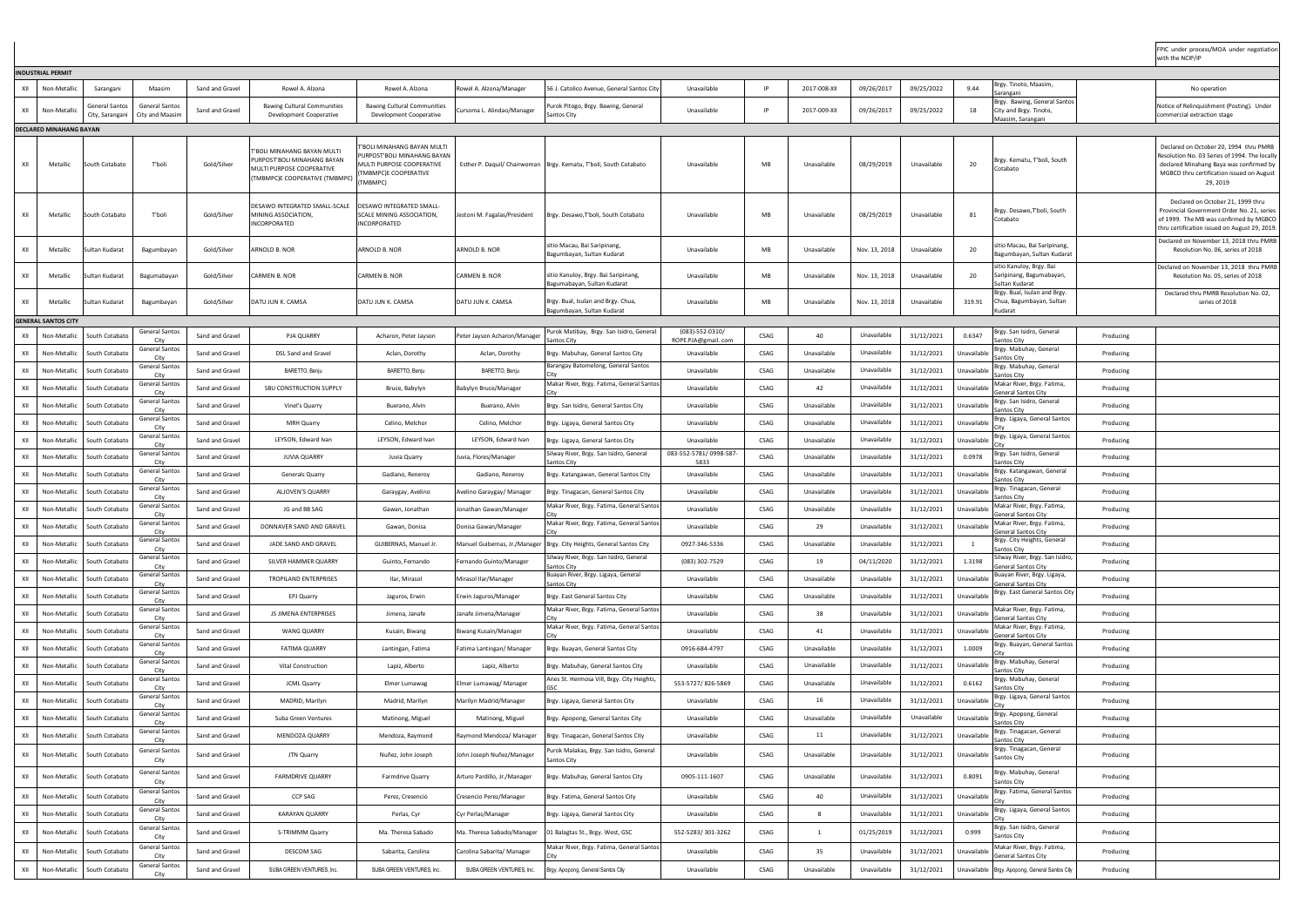|     | <b>INDUSTRIAL PERMIT</b>       |                 |                                                        |                 |                                                                                                                           |                                                                                                                                    |                              |                                                                     |                                             |              |              |               |             |             |                                                                        |           |                                                                                                                                                                                             |
|-----|--------------------------------|-----------------|--------------------------------------------------------|-----------------|---------------------------------------------------------------------------------------------------------------------------|------------------------------------------------------------------------------------------------------------------------------------|------------------------------|---------------------------------------------------------------------|---------------------------------------------|--------------|--------------|---------------|-------------|-------------|------------------------------------------------------------------------|-----------|---------------------------------------------------------------------------------------------------------------------------------------------------------------------------------------------|
| XII | Non-Metallio                   | Sarangani       | Maasim                                                 | Sand and Gravel | Rowel A. Alzona                                                                                                           | Rowel A. Alzona                                                                                                                    | Rowel A. Alzona/Manager      | 56 J. Catolico Avenue, General Santos Cit                           | Unavailable                                 | IP           | 2017-008-XII | 09/26/2017    | 09/25/2022  | 9.44        | Brgy. Tinoto, Maasim,                                                  |           | No operation                                                                                                                                                                                |
|     |                                | General Santos  | <b>General Santos</b>                                  |                 | <b>Bawing Cultural Communities</b>                                                                                        | <b>Bawing Cultural Communities</b>                                                                                                 |                              | Purok Pitogo, Brgy. Bawing, General                                 |                                             |              |              |               |             |             | Sarangani<br>Brgy. Bawing, General Santos                              |           | Notice of Relinquishment (Posting). Under                                                                                                                                                   |
| XII | Non-Metalli                    | City, Sarangani | City and Maasim                                        | Sand and Gravel | Development Cooperative                                                                                                   | Development Cooperative                                                                                                            | Cursoma L. Alindao/Manager   | Santos City                                                         | Unavailable                                 | $\mathsf{I}$ | 2017-009-XII | 09/26/2017    | 09/25/2022  | -18         | City and Brgy. Tinoto,<br>Maasim, Sarangani                            |           | commercial extraction stage                                                                                                                                                                 |
|     | <b>DECLARED MINAHANG BAYAN</b> |                 |                                                        |                 |                                                                                                                           |                                                                                                                                    |                              |                                                                     |                                             |              |              |               |             |             |                                                                        |           |                                                                                                                                                                                             |
| XII | Metallic                       | South Cotabato  | T'boli                                                 | Gold/Silver     | T'BOLI MINAHANG BAYAN MULTI<br>PURPOST'BOLI MINAHANG BAYAN<br>MULTI PURPOSE COOPERATIVE<br>(TMBMPC)E COOPERATIVE (TMBMPC) | I'BOLI MINAHANG BAYAN MULTI<br><b>URPOST'BOLI MINAHANG BAYAN</b><br>MULTI PURPOSE COOPERATIVE<br>(TMBMPC)E COOPERATIVE<br>(TMBMPC) |                              | Esther P. Daquil/ Chairwoman   Brgy. Kematu, T'boli, South Cotabato | Unavailable                                 | MB           | Unavailable  | 08/29/2019    | Unavailable | 20          | Brgy. Kematu, T'boli, South<br>otabato                                 |           | Declared on October 20, 1994 thru PMRB<br>Resolution No. 03 Series of 1994. The locally<br>declared Minahang Baya was confirmed by<br>MGBCO thru certification issued on August<br>29, 2019 |
| XII | Metallic                       | iouth Cotabato  | T'boli                                                 | Gold/Silver     | DESAWO INTEGRATED SMALL-SCALE<br>MINING ASSOCIATION,<br>INCORPORATED                                                      | <b>DESAWO INTEGRATED SMALL-</b><br>SCALE MINING ASSOCIATION<br><b>INCORPORATED</b>                                                 | Jestoni M. Fagalas/President | Brgy. Desawo,T'boli, South Cotabato                                 | Unavailable                                 | MB           | Unavailable  | 08/29/2019    | Unavailable | 81          | Brgy. Desawo, T'boli, South<br>cotabatc                                |           | Declared on October 21, 1999 thru<br>Provincial Government Order No. 21, series<br>of 1999. The MB was confirmed by MGBCO<br>thru certification issued on August 29, 2019.                  |
| XII | Metallic                       | iultan Kudarat  | Bagumbayan                                             | Gold/Silver     | ARNOLD B. NOR                                                                                                             | ARNOLD B. NOR                                                                                                                      | ARNOLD B. NOR                | sitio Macau, Bai Saripinang,<br>Bagumbayan, Sultan Kudarat          | Unavailable                                 | <b>MB</b>    | Unavailable  | Nov. 13, 2018 | Unavailable | 20          | sitio Macau, Bai Saripinang,<br>agumbayan, Sultan Kudarat              |           | Declared on November 13, 2018 thru PMRB<br>Resolution No. 06, series of 2018                                                                                                                |
| XII | Metallic                       | Sultan Kudarat  | Bagumabayan                                            | Gold/Silver     | <b>CARMEN B. NOR</b>                                                                                                      | CARMEN B. NOR                                                                                                                      | <b>CARMEN B. NOR</b>         | sitio Kanuloy, Brgy. Bai Saripinang<br>Bagumabayan, Sultan Kudarat  | Unavailable                                 | MB           | Unavailable  | Nov. 13, 2018 | Unavailable | 20          | sitio Kanuloy, Brgy. Bai<br>Saripinang, Bagumabayan,<br>Sultan Kudarat |           | Declared on November 13, 2018 thru PMRB<br>Resolution No. 05, series of 2018                                                                                                                |
| XII | Metallic                       | iultan Kudarat  | Bagumbayan                                             | Gold/Silver     | DATU JUN K. CAMSA                                                                                                         | DATU JUN K. CAMSA                                                                                                                  | DATU JUN K. CAMSA            | Brgy. Bual, Isulan and Brgy. Chua,<br>Bagumbayan, Sultan Kudarat    | Unavailable                                 | MB           | Unavailable  | Nov. 13, 2018 | Unavailable | 319.91      | Brgy. Bual, Isulan and Brgy.<br>Chua, Bagumbayan, Sultan<br>udarat)    |           | Declared thru PMRB Resolution No. 02,<br>series of 2018                                                                                                                                     |
|     | <b>GENERAL SANTOS CITY</b>     |                 |                                                        |                 |                                                                                                                           |                                                                                                                                    |                              |                                                                     |                                             |              |              |               |             |             |                                                                        |           |                                                                                                                                                                                             |
| XII | Non-Metallio                   | South Cotabato  | <b>General Santos</b><br>City                          | Sand and Gravel | <b>PJA QUARRY</b>                                                                                                         | Acharon, Peter Jayson                                                                                                              | Peter Jayson Acharon/Manager | Purok Matibay, Brgy. San Isidro, General<br>Santos City             | $(083) - 552 - 0310/$<br>ROPE.PJA@gmail.com | CSAG         | 40           | Unavailable   | 31/12/2021  | 0.6347      | Brgy. San Isidro, General<br>Santos City                               | Producing |                                                                                                                                                                                             |
| XII | Non-Metallic                   | South Cotabato  | <b>General Santos</b><br>City                          | Sand and Gravel | DSL Sand and Gravel                                                                                                       | Aclan, Dorothy                                                                                                                     | Aclan, Dorothy               | Brgy. Mabuhay, General Santos City                                  | Unavailable                                 | <b>CSAG</b>  | Unavailable  | Unavailable   | 31/12/2021  | Unavailable | rgy. Mabuhay, General<br>antos City                                    | Producing |                                                                                                                                                                                             |
| XII | Non-Metallic                   | South Cotabato  | <b>General Santos</b><br>Citv                          | Sand and Gravel | BARETTO, Benju                                                                                                            | BARETTO, Benju                                                                                                                     | BARETTO, Benju               | Barangay Batomelong, General Santos                                 | Unavailable                                 | <b>CSAG</b>  | Unavailable  | Unavailable   | 31/12/2021  | Unavailab   | rgy. Mabuhay, General<br>iantos City                                   | Producing |                                                                                                                                                                                             |
| XII | Non-Metallic                   | South Cotabato  | <b>General Santos</b>                                  | Sand and Gravel | SBU CONSTRUCTION SUPPLY                                                                                                   | Bruce, Babylyn                                                                                                                     | Babylyn Bruce/Manager        | Makar River, Brgy. Fatima, General Santos                           | Unavailable                                 | CSAG         | 42           | Unavailable   | 31/12/2021  | Unavailable | Makar River, Brgy. Fatima,                                             | Producing |                                                                                                                                                                                             |
| XII | Non-Metallic                   | South Cotabato  | City<br><b>General Santos</b>                          | Sand and Gravel | Vinel's Quarry                                                                                                            | Buerano, Alvin                                                                                                                     | Buerano, Alvin               | Brgy. San Isidro, General Santos City                               | Unavailable                                 | CSAG         | Unavailable  | Unavailable   | 31/12/2021  | Unavailable | General Santos Citv<br>Brgy. San Isidro, General                       | Producing |                                                                                                                                                                                             |
| XII | Non-Metallic                   | South Cotabato  | City<br><b>General Santos</b>                          | Sand and Gravel | <b>MRH Quarry</b>                                                                                                         | Celino, Melchor                                                                                                                    | Celino, Melchor              | Brgy. Ligaya, General Santos City                                   | Unavailable                                 | CSAG         | Unavailable  | Unavailable   | 31/12/2021  | Unavailable | Santos City<br>rgy. Ligaya, General Santos                             | Producing |                                                                                                                                                                                             |
| XII | Non-Metallic                   | South Cotabato  | City<br><b>General Santos</b>                          | Sand and Gravel | LEYSON, Edward Ivan                                                                                                       | LEYSON, Edward Ivan                                                                                                                | LEYSON, Edward Ivan          | Brgy. Ligaya, General Santos City                                   | Unavailable                                 | CSAG         | Unavailable  | Unavailable   | 31/12/2021  | Unavailabl  | Brgy. Ligaya, General Santos                                           | Producing |                                                                                                                                                                                             |
|     |                                |                 | City<br><b>General Santos</b>                          |                 |                                                                                                                           |                                                                                                                                    |                              | Silway River, Brgy. San Isidro, General                             | 083-552-5781/0998-587-                      |              |              | Unavailable   |             |             | Brgy. San Isidro, General                                              |           |                                                                                                                                                                                             |
| XII | Non-Metallic                   | South Cotabatc  | City<br><b>General Santos</b>                          | Sand and Gravel | <b>JUVIA QUARRY</b>                                                                                                       | Juvia Quarry                                                                                                                       | Juvia, Flores/Manager        | Santos Citv                                                         | 5833                                        | CSAG         | Unavailable  |               | 31/12/2021  | 0.0978      | antos Citv<br>rgy. Katangawan, General                                 | Producing |                                                                                                                                                                                             |
| XII | Non-Metallio                   | South Cotabato  | City<br><b>General Santos</b>                          | Sand and Gravel | Generals Quarry                                                                                                           | Gadiano, Reneroy                                                                                                                   | Gadiano, Reneroy             | Brgy. Katangawan, General Santos City                               | Unavailable                                 | CSAG         | Unavailable  | Unavailable   | 31/12/2021  | Unavailable | antos City<br>rgy. Tinagacan, General                                  | Producing |                                                                                                                                                                                             |
| XII | Non-Metallic                   | South Cotabato  | City<br><b>General Santos</b>                          | Sand and Gravel | <b>ALJOVEN'S QUARRY</b>                                                                                                   | Garaygay, Avelino                                                                                                                  | Avelino Garaygay/ Manager    | Brgy. Tinagacan, General Santos City                                | Unavailable                                 | CSAG         | Unavailable  | Unavailable   | 31/12/2021  | Unavailabl  | antos City                                                             | Producing |                                                                                                                                                                                             |
| XII | Non-Metallic                   | South Cotabato  | City                                                   | Sand and Gravel | JG and BB SAG                                                                                                             | Gawan, Jonathan                                                                                                                    | Jonathan Gawan/Manager       | Makar River, Brgy. Fatima, General Santos                           | Unavailable                                 | CSAG         | Unavailable  | Unavailable   | 31/12/2021  | Unavailab   | Aakar River, Brgy. Fatima,<br>General Santos City                      | Producing |                                                                                                                                                                                             |
| XII | Non-Metallio                   | South Cotabato  | <b>General Santos</b><br>City                          | Sand and Gravel | DONNAVER SAND AND GRAVEL                                                                                                  | Gawan, Donisa                                                                                                                      | Donisa Gawan/Manager         | Makar River, Brgy. Fatima, General Santos                           | Unavailable                                 | CSAG         | 29           | Unavailable   | 31/12/2021  | Unavailable | Makar River, Brgy. Fatima,<br>General Santos Citv                      | Producing |                                                                                                                                                                                             |
| XII | Non-Metallic                   | South Cotabato  | <b>General Santos</b><br>City                          | Sand and Gravel | JADE SAND AND GRAVEL                                                                                                      | GUIBERNAS, Manuel Jr                                                                                                               | Manuel Guibernas, Jr./Manage | Brgy. City Heights, General Santos City                             | 0927-346-5336                               | <b>CSAG</b>  | Unavailable  | Unavailable   | 31/12/2021  |             | Brgy. City Heights, General<br>antos City                              | Producing |                                                                                                                                                                                             |
| XII | Non-Metallic                   | South Cotabato  | <b>General Santos</b><br>City                          | Sand and Gravel | SILVER HAMMER QUARRY                                                                                                      | Guinto, Fernando                                                                                                                   | Fernando Guinto/Manager      | Silway River, Brgy. San Isidro, General<br>Santos City              | (083) 302-7529                              | CSAG         | 19           | 04/11/2020    | 31/12/2021  | 1.3198      | ilway River, Brgy. San Isidro,<br>ieneral Santos City                  | Producing |                                                                                                                                                                                             |
| XII | Non-Metallic                   | South Cotabato  | <b>General Santos</b><br>City                          | Sand and Gravel | TROPILAND ENTERPRISES                                                                                                     | Ilar, Mirasol                                                                                                                      | Mirasol Ilar/Manager         | Buayan River, Brgy. Ligaya, General<br>Santos City                  | Unavailable                                 | CSAG         | Unavailable  | Unavailable   | 31/12/2021  | Unavailable | uayan River, Brgy. Ligaya,<br>ieneral Santos City                      | Producing |                                                                                                                                                                                             |
| XII | Non-Metallic                   | South Cotabato  | <b>General Santos</b><br>City                          | Sand and Gravel | EPJ Quarry                                                                                                                | Jaguros, Erwin                                                                                                                     | Erwin Jaguros/Manager        | Brgy. East General Santos City                                      | Unavailable                                 | CSAG         | Unavailable  | Unavailable   | 31/12/2021  | Unavailable | Brgy. East General Santos City                                         | Producing |                                                                                                                                                                                             |
| XII | Non-Metallic                   | South Cotabato  | <b>General Santos</b><br>City                          | Sand and Gravel | JS JIMENA ENTERPRISES                                                                                                     | Jimena, Janafe                                                                                                                     | Janafe Jimena/Manager        | Makar River, Brgy. Fatima, General Santos                           | Unavailable                                 | CSAG         | 38           | Unavailable   | 31/12/2021  | Unavailable | Makar River, Brgy. Fatima,<br>General Santos City                      | Producing |                                                                                                                                                                                             |
| XII | Non-Metallic                   | South Cotabato  | <b>General Santos</b><br>City                          | Sand and Gravel | <b>WANG QUARRY</b>                                                                                                        | Kusain, Biwang                                                                                                                     | <b>Biwang Kusain/Manager</b> | Makar River, Brgy. Fatima, General Santos                           | Unavailable                                 | CSAG         | 41           | Unavailable   | 31/12/2021  | Unavailab   | Aakar River, Brgy. Fatima,<br>ieneral Santos City                      | Producing |                                                                                                                                                                                             |
| XII | Non-Metallic                   | South Cotabato  | <b>General Santos</b>                                  | Sand and Gravel | <b>FATIMA QUARRY</b>                                                                                                      | Lantingan, Fatima                                                                                                                  | Fatima Lantingan/ Manager    | Brgy. Buayan, General Santos City                                   | 0916-684-4797                               | CSAG         | Unavailable  | Unavailable   | 31/12/2021  | 1.0009      | Brgy. Buayan, General Santos                                           | Producing |                                                                                                                                                                                             |
| XII | Non-Metallio                   | South Cotabato  | City<br><b>General Santos</b>                          | Sand and Gravel | Vital Construction                                                                                                        | Lapiz, Alberto                                                                                                                     | Lapiz, Alberto               | Brgy. Mabuhay, General Santos City                                  | Unavailable                                 | CSAG         | Unavailable  | Unavailable   | 31/12/2021  | Unavailable | Brgy. Mabuhay, General                                                 | Producing |                                                                                                                                                                                             |
| XII | Non-Metallic                   | South Cotabato  | City<br><b>General Santos</b>                          | Sand and Gravel | <b>JCML Quarry</b>                                                                                                        | Elmer Lumawag                                                                                                                      | Imer Lumawag/ Manager        | Aries St. Hermosa Vill, Brgy. City Heights                          | 553-5727/826-5869                           | CSAG         | Unavailable  | Unavailable   | 31/12/2021  | 0.6162      | antos City<br>rgy. Mabuhay, General                                    | Producing |                                                                                                                                                                                             |
| XII | Non-Metallic                   | South Cotabato  | City<br><b>General Santos</b>                          | Sand and Gravel | MADRID, Marilyn                                                                                                           | Madrid, Marilyn                                                                                                                    | Marilyn Madrid/Manager       | Brgy. Ligaya, General Santos City                                   | Unavailable                                 | <b>CSAG</b>  | 16           | Unavailable   | 31/12/2021  | Unavailabl  | antos City<br>Brgy. Ligaya, General Santos                             | Producing |                                                                                                                                                                                             |
|     |                                |                 | City<br>General Santos                                 |                 |                                                                                                                           |                                                                                                                                    |                              |                                                                     |                                             |              |              | Unavailable   |             |             | Brgy. Apopong, General                                                 |           |                                                                                                                                                                                             |
| XII | Non-Metallic                   | South Cotabato  | Citv<br><b>General Santos</b>                          | Sand and Gravel | Suba Green Ventures                                                                                                       | Matinong, Miguel                                                                                                                   | Matinong, Miguel             | Brgy. Apopong, General Santos City                                  | Unavailable                                 | CSAG         | Unavailable  |               | Unavailable | Unavailable | antos Citv<br>Brgy. Tinagacan, General                                 | Producing |                                                                                                                                                                                             |
| XII | Non-Metallic                   | South Cotabato  | City                                                   | Sand and Gravel | MENDOZA QUARRY                                                                                                            | Mendoza, Raymond                                                                                                                   | Raymond Mendoza/ Manager     | Brgy. Tinagacan, General Santos City                                | Unavailable                                 | CSAG         | 11           | Unavailable   | 31/12/2021  | Unavailable | antos City<br>Brgy. Tinagacan, General                                 | Producing |                                                                                                                                                                                             |
| XII | Non-Metallic                   | South Cotabato  | <b>General Santos</b><br>City<br><b>General Santos</b> | Sand and Gravel | JTN Quarry                                                                                                                | Nuñez, John Joseph                                                                                                                 | John Joseph Nuñez/Manager    | Purok Malakas, Brgy. San Isidro, General<br>Santos City             | Unavailable                                 | CSAG         | Unavailable  | Unavailable   | 31/12/2021  |             | Unavailable Santos City<br>Brgy. Mabuhay, General                      | Producing |                                                                                                                                                                                             |
| XII | Non-Metallic                   | South Cotabato  | City                                                   | Sand and Gravel | <b>FARMDRIVE QUARRY</b>                                                                                                   | Farmdrive Quarry                                                                                                                   | Arturo Pardillo, Jr./Manager | Brgy. Mabuhay, General Santos City                                  | 0905-111-1607                               | CSAG         | Unavailable  | Unavailable   | 31/12/2021  | 0.8091      | Santos City                                                            | Producing |                                                                                                                                                                                             |
| XII | Non-Metallic                   | South Cotabato  | <b>General Santos</b><br>City                          | Sand and Gravel | CCP SAG                                                                                                                   | Perez, Cresencio                                                                                                                   | Cresencio Perez/Manager      | Brgy. Fatima, General Santos City                                   | Unavailable                                 | CSAG         | 40           | Unavailable   | 31/12/2021  | Unavailable | <b>Srgy. Fatima, General Santos</b>                                    | Producing |                                                                                                                                                                                             |
| XII | Non-Metallic                   | South Cotabato  | <b>General Santos</b><br>City                          | Sand and Gravel | <b>KARAYAN QUARRY</b>                                                                                                     | Perlas, Cyr                                                                                                                        | Cyr Perlas/Manager           | Brgy. Ligaya, General Santos City                                   | Unavailable                                 | CSAG         | -8           | Unavailable   | 31/12/2021  | Unavailable | Brgy. Ligaya, General Santos                                           | Producing |                                                                                                                                                                                             |
| XII | Non-Metallic                   | South Cotabato  | <b>General Santos</b><br>City                          | Sand and Gravel | S-TRIMMM Quarry                                                                                                           | Ma. Theresa Sabado                                                                                                                 | Ma. Theresa Sabado/Manager   | 01 Balagtas St., Brgy. West, GSC                                    | 552-5283/301-3262                           | CSAG         |              | 01/25/2019    | 31/12/2021  | 0.999       | Brgy. San Isidro, General<br>Santos City                               | Producing |                                                                                                                                                                                             |
| XII | Non-Metallic                   | South Cotabato  | General Santos<br>City                                 | Sand and Gravel | <b>DESCOM SAG</b>                                                                                                         | Sabarita, Carolina                                                                                                                 | Carolina Sabarita/ Manager   | Makar River, Brgy. Fatima, General Santos                           | Unavailable                                 | CSAG         | 35           | Unavailable   | 31/12/2021  | Unavailable | Makar River, Brgy. Fatima,<br>General Santos City                      | Producing |                                                                                                                                                                                             |
| XII | Non-Metallic                   | South Cotabato  | General Santos<br>City                                 | Sand and Gravel | SUBA GREEN VENTURES, Inc.                                                                                                 | SUBA GREEN VENTURES, Inc                                                                                                           | SUBA GREEN VENTURES, Inc.    | Brgy. Apopong, General Santos City                                  | Unavailable                                 | CSAG         | Unavailable  | Unavailable   | 31/12/2021  |             | Unavailable Brgy. Apopong, General Santos City                         | Producing |                                                                                                                                                                                             |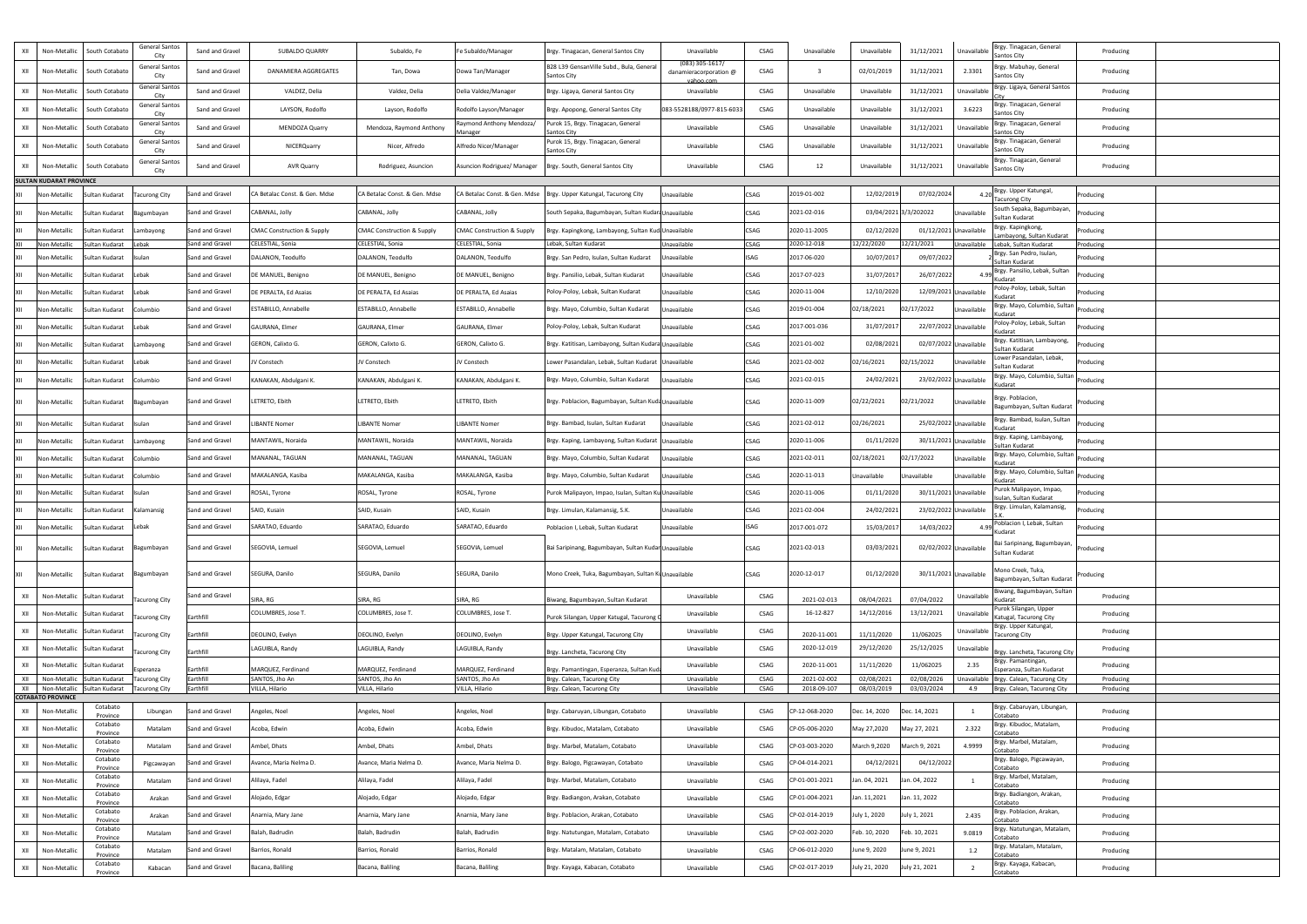| XII        | Non-Metallic                   | South Cotabato                   | <b>General Santos</b>         | Sand and Gravel        | <b>SUBALDO QUARRY</b>                 | Subaldo, Fe                           | Fe Subaldo/Manager                    | Brgy. Tinagacan, General Santos City                  | Unavailable                         | <b>CSAG</b>                | Unavailable                | Unavailable              | 31/12/2021               | Brgy. Tinagacan, General<br>Unavailable                        | Producing              |  |
|------------|--------------------------------|----------------------------------|-------------------------------|------------------------|---------------------------------------|---------------------------------------|---------------------------------------|-------------------------------------------------------|-------------------------------------|----------------------------|----------------------------|--------------------------|--------------------------|----------------------------------------------------------------|------------------------|--|
| XII        |                                |                                  | City<br><b>General Santos</b> | Sand and Gravel        | DANAMIERA AGGREGATES                  |                                       |                                       | B28 L39 GensanVille Subd., Bula, Genera               | $(083)$ 305-1617/                   | CSAG                       |                            |                          |                          | <b>Santos City</b><br>Brgy. Mabuhay, General<br>2.3301         |                        |  |
|            | Non-Metallic                   | South Cotabatc                   | City<br><b>General Santos</b> |                        |                                       | Tan, Dowa                             | Dowa Tan/Manager                      | Santos City                                           | danamieracorporation @<br>vahoo.com |                            |                            | 02/01/2019               | 31/12/2021               | Santos City<br>Brgy. Ligaya, General Santos                    | Producing              |  |
| XII        | Non-Metallic                   | South Cotabato                   | City                          | Sand and Gravel        | VALDEZ, Delia                         | Valdez, Delia                         | Delia Valdez/Manager                  | Brgy. Ligaya, General Santos City                     | Unavailable                         | CSAG                       | Unavailable                | Unavailable              | 31/12/2021               | Unavailable<br>Brgy. Tinagacan, General                        | Producing              |  |
| XII        | Non-Metallio                   | South Cotabato                   | <b>General Santos</b><br>City | Sand and Gravel        | LAYSON, Rodolfo                       | Layson, Rodolfo                       | Rodolfo Layson/Manager                | Brgy. Apopong, General Santos City                    | 083-5528188/0977-815-6033           | <b>CSAG</b>                | Unavailable                | Unavailable              | 31/12/2021               | 3.6223<br>Santos City                                          | Producing              |  |
| XII        | Non-Metallic                   | South Cotabato                   | <b>General Santos</b><br>City | Sand and Gravel        | <b>MENDOZA Quarry</b>                 | Mendoza, Raymond Anthony              | Raymond Anthony Mendoza/<br>1anager   | urok 15, Brgy. Tinagacan, General<br>antos Citv       | Unavailable                         | CSAG                       | Unavailable                | Unavailable              | 31/12/2021               | Brgy. Tinagacan, General<br>Unavailabl<br><b>Santos City</b>   | Producing              |  |
| XII        | Non-Metallic                   | South Cotabato                   | <b>General Santos</b><br>City | Sand and Gravel        | NICERQuarry                           | Nicer, Alfredo                        | Alfredo Nicer/Manager                 | Purok 15, Brgy. Tinagacan, General<br>Santos City     | Unavailable                         | CSAG                       | Unavailable                | Unavailable              | 31/12/2021               | Brgy. Tinagacan, General<br>Unavailabl<br><b>Santos City</b>   | Producing              |  |
| XII        | Non-Metallic                   | South Cotabato                   | <b>General Santos</b>         | Sand and Gravel        | AVR Quarry                            | Rodriguez, Asuncion                   | Asuncion Rodriguez/ Manager           | Brgy. South, General Santos City                      | Unavailable                         | CSAG                       | 12                         | Unavailable              | 31/12/2021               | Brgy. Tinagacan, General<br>Unavailable<br>Santos City         | Producing              |  |
|            | <b>SULTAN KUDARAT PROVINCE</b> |                                  | City                          |                        |                                       |                                       |                                       |                                                       |                                     |                            |                            |                          |                          |                                                                |                        |  |
| XII        | Non-Metallic                   | Sultan Kudarat                   | <b>Facurong City</b>          | Sand and Gravel        | A Betalac Const. & Gen. Mdse          | CA Betalac Const. & Gen. Mdse         | CA Betalac Const. & Gen. Mdse         | Brgy. Upper Katungal, Tacurong City                   | Jnavailable                         | CSAG                       | 2019-01-002                | 12/02/2019               | 07/02/2024               | 4.20 Brgy. Upper Katungal,<br><b>Tacurong City</b>             | Producing              |  |
| <b>XII</b> | Non-Metallio                   | Sultan Kudarat                   | 3agumbayan                    | Sand and Gravel        | CABANAL, Jolly                        | CABANAL, Jolly                        | CABANAL, Jolly                        | South Sepaka, Bagumbayan, Sultan Kudari Unavailable   |                                     | CSAG                       | 2021-02-016                |                          | 03/04/2021 3/3/202022    | South Sepaka, Bagumbayan,<br>Unavailable<br>Sultan Kudarat     | Producing              |  |
| IXII.      | Non-Metallio                   | Sultan Kudarat                   | Lambayong                     | Sand and Gravel        | <b>CMAC Construction &amp; Supply</b> | <b>CMAC Construction &amp; Supply</b> | <b>CMAC Construction &amp; Supply</b> | Brgy. Kapingkong, Lambayong, Sultan Kud Unavailable   |                                     | <b>CSAG</b>                | 2020-11-2005               | 02/12/2020               | 01/12/2021 Unavailable   | Brgy. Kapingkong,<br>Lambayong, Sultan Kudarat                 | Producing              |  |
| XII        | Non-Metalli                    | ultan Kudarat                    | Lebak                         | Sand and Gravel        | ELESTIAL, Sonia                       | CELESTIAL, Sonia                      | CELESTIAL, Sonia                      | Lebak, Sultan Kudarat                                 | Jnavailable                         | <b>CSAG</b>                | 2020-12-018                | 12/22/2020               | 12/21/2021               | Unavailable<br>Lebak, Sultan Kudarat                           | Producing              |  |
| XII        | Non-Metallic                   | Sultan Kudarat                   | Isulan                        | Sand and Gravel        | DALANON, Teodulfo                     | DALANON, Teodulfo                     | DALANON, Teodulfo                     | Brgy. San Pedro, Isulan, Sultan Kudarat               | Inavailable                         | <b>ISAG</b>                | 2017-06-020                | 10/07/2017               | 09/07/2022               | Brgy. San Pedro, Isulan,<br>Sultan Kudarat                     | Producing              |  |
|            | Non-Metallio                   | Sultan Kudarat                   | Lebak                         | Sand and Gravel        | E MANUEL, Benigno                     | DE MANUEL, Benigno                    | DE MANUEL, Benigno                    | Brgy. Pansilio, Lebak, Sultan Kudarat                 | Inavailable                         | CSAG                       | 2017-07-023                | 31/07/2017               | 26/07/2022               | Brgy. Pansilio, Lebak, Sultan<br>Kudarat                       | Producing              |  |
| <b>XII</b> | Non-Metalli                    | Sultan Kudarat                   | Lebak                         | Sand and Gravel        | DE PERALTA, Ed Asaias                 | DE PERALTA, Ed Asaias                 | DE PERALTA, Ed Asaias                 | Poloy-Poloy, Lebak, Sultan Kudarat                    | Inavailable                         | CSAG                       | 2020-11-004                | 12/10/2020               | 12/09/2021 Unavailable   | Poloy-Poloy, Lebak, Sultan<br>Kudarat                          | Producing              |  |
| XII        | Non-Metallio                   | iultan Kudarat                   | Columbio                      | Sand and Gravel        | STABILLO, Annabelle                   | ESTABILLO, Annabelle                  | ESTABILLO, Annabelle                  | Brgy. Mayo, Columbio, Sultan Kudarat                  | Inavailable                         | <b>CSAG</b>                | 2019-01-004                | 02/18/2021               | 02/17/2022               | Brgy. Mayo, Columbio, Sultan<br>Unavailable<br>Kudarat         | Producing              |  |
| XII        | Non-Metallio                   | Sultan Kudarat                   | Lebak                         | Sand and Gravel        | GAURANA, Elmer                        | GAURANA, Elmer                        | GAURANA, Elmer                        | Poloy-Poloy, Lebak, Sultan Kudarat                    | Inavailable                         | CSAG                       | 2017-001-036               | 31/07/2017               | 22/07/2022 Unavailable   | Poloy-Poloy, Lebak, Sultan<br>Kudarat                          | Producing              |  |
|            | Non-Metalli                    | Sultan Kudarat                   | ambayong.                     | Sand and Gravel        | GERON, Calixto G.                     | GERON, Calixto G.                     | GERON, Calixto G.                     | Brgy. Katitisan, Lambayong, Sultan Kudara Unavailable |                                     | <b>CSAG</b>                | 2021-01-002                | 02/08/2021               | 02/07/2022 Unavailable   | Brgy. Katitisan, Lambayong,<br>Sultan Kudarat                  | Producing              |  |
| <b>XII</b> | Non-Metallio                   | Sultan Kudarat                   | Lebak                         | Sand and Gravel        | V Constech                            | V Constech                            | JV Constech                           | Lower Pasandalan, Lebak, Sultan Kudarat               | Jnavailable                         | <b>CSAG</b>                | 2021-02-002                | 02/16/2021               | 02/15/2022               | Lower Pasandalan, Lebak,<br>Unavailable<br>Sultan Kudarat      | Producing              |  |
| IXII.      | Non-Metallic                   | Sultan Kudarat                   | Columbio                      | Sand and Gravel        | KANAKAN, Abdulgani K.                 | KANAKAN, Abdulgani K.                 | KANAKAN, Abdulgani K.                 | Brgy. Mayo, Columbio, Sultan Kudarat                  | Jnavailable                         | CSAG                       | 2021-02-015                | 24/02/2021               | 23/02/2022 Unavailable   | Brgy. Mayo, Columbio, Sultan<br>Kudarat                        | Producing              |  |
| XII        | Non-Metallic                   | Sultan Kudarat                   | Bagumbayan                    | Sand and Gravel        | ETRETO, Ebith                         | LETRETO, Ebith                        | LETRETO, Ebith                        | Brgy. Poblacion, Bagumbayan, Sultan Kuda Unavailable  |                                     | <b>CSAG</b>                | 2020-11-009                | 02/22/2021               | 02/21/2022               | Brgy. Poblacion<br>Unavailable<br>Bagumbayan, Sultan Kudarat   | Producing              |  |
|            | Non-Metallic                   | Sultan Kudarat                   | Isulan                        | Sand and Gravel        | <b>IBANTE Nomer</b>                   | <b>LIBANTE Nomer</b>                  | <b>LIBANTE Nomer</b>                  | Brgy. Bambad, Isulan, Sultan Kudarat                  | Jnavailable                         | CSAG                       | 2021-02-012                | 02/26/2021               | 25/02/2022 Unavailable   | Brgy. Bambad, Isulan, Sultan                                   | Producing              |  |
| XII        | Non-Metalli                    | Sultan Kudarat                   | ambayong.                     | Sand and Gravel        | MANTAWIL, Noraida                     | MANTAWIL, Noraida                     | MANTAWIL, Noraida                     | Brgy. Kaping, Lambayong, Sultan Kudarat               | Jnavailable                         | CSAG                       | 2020-11-006                | 01/11/2020               | 30/11/2021 Unavailable   | Kudarat<br>Brgy. Kaping, Lambayong,                            | Producing              |  |
| XII        | Non-Metallio                   | ultan Kudarat                    | Columbio                      | Sand and Gravel        | <b>AANANAL, TAGUAN</b>                | MANANAL, TAGUAN                       | MANANAL, TAGUAN                       | Brgy. Mayo, Columbio, Sultan Kudarat                  | Inavailable                         | CSAG                       | 2021-02-011                | 02/18/2021               | 02/17/2022               | Sultan Kudarat<br>Brgy. Mayo, Columbio, Sultan<br>Unavailable  | Producing              |  |
| <b>XII</b> | Non-Metallic                   |                                  | Columbio                      | Sand and Gravel        | MAKALANGA, Kasiba                     | MAKALANGA, Kasiba                     | MAKALANGA, Kasiba                     | Brgy. Mayo, Columbio, Sultan Kudarat                  | Inavailable                         | CSAG                       | 2020-11-013                | Unavailable              | Unavailable              | Kudarat<br>Brgy. Mayo, Columbio, Sultan<br>Unavailable         |                        |  |
|            |                                | Sultan Kudarat                   |                               |                        |                                       |                                       |                                       |                                                       |                                     |                            |                            |                          |                          | Kudarat<br>Purok Malipayon, Impao,                             | Producing              |  |
|            | Non-Metallio                   | iultan Kudarat                   | Isulan                        | Sand and Gravel        | ROSAL, Tyrone                         | ROSAL, Tyrone                         | ROSAL, Tyrone                         | Purok Malipayon, Impao, Isulan, Sultan Ku Unavailable |                                     | CSAG                       | 2020-11-006                | 01/11/2020               | 30/11/2021 Unavailable   | Isulan, Sultan Kudarat<br>Brgy. Limulan, Kalamansig,           | Producing              |  |
| IXII.      | Non-Metalli                    | Sultan Kudarat                   | Kalamansig                    | Sand and Gravel        | SAID, Kusain                          | SAID, Kusain                          | SAID, Kusain                          | Brgy. Limulan, Kalamansig, S.K.                       | Jnavailable                         | <b>CSAG</b>                | 2021-02-004                | 24/02/2021               | 23/02/2022 Unavailable   | Poblacion I, Lebak, Sultan                                     | Producing              |  |
| XII        | Non-Metallic                   | Sultan Kudarat                   | Lebak                         | Sand and Gravel        | SARATAO, Eduardo                      | SARATAO, Eduardo                      | SARATAO, Eduardo                      | Poblacion I, Lebak, Sultan Kudarat                    | Inavailable                         | <b>ISAG</b>                | 2017-001-072               | 15/03/2017               | 14/03/2022               | Kudarat                                                        | Producing              |  |
|            | Non-Metallio                   | Sultan Kudarat                   | Bagumbayan                    | Sand and Gravel        | SEGOVIA, Lemuel                       | SEGOVIA, Lemuel                       | SEGOVIA, Lemuel                       | Bai Saripinang, Bagumbayan, Sultan Kudar Unavailable  |                                     | CSAG                       | 2021-02-013                | 03/03/2021               | 02/02/2022 Unavailable   | Bai Saripinang, Bagumbayan,<br>Sultan Kudarat                  | Producing              |  |
|            | Non-Metallic                   | Sultan Kudarat                   | Bagumbayan                    | Sand and Gravel        | SEGURA, Danilo                        | SEGURA, Danilo                        | SEGURA, Danilo                        | Mono Creek, Tuka, Bagumbayan, Sultan Ku Unavailable   |                                     | <b>CSAG</b>                | 2020-12-017                | 01/12/2020               | 30/11/2021 Unavailable   | Mono Creek, Tuka,<br>Bagumbayan, Sultan Kudarat                | Producing              |  |
| XII        | Non-Metallic                   | Sultan Kudara                    | Tacurong City                 | Sand and Gravel        | SIRA, RG                              | SIRA, RG                              | SIRA, RG                              | Biwang, Bagumbayan, Sultan Kudarat                    | Unavailable                         | CSAG                       | 2021-02-013                | 08/04/2021               | 07/04/2022               | Biwang, Bagumbayan, Sultan<br>Unavailabl<br>Kudarat            | Producing              |  |
| XII        | Non-Metallic                   | Sultan Kudarat                   | Tacurong City                 | arthfill               | COLUMBRES, Jose T.                    | COLUMBRES, Jose T.                    | COLUMBRES, Jose T.                    | Purok Silangan, Upper Katugal, Tacurong               | Unavailable                         | CSAG                       | 16-12-827                  | 14/12/2016               | 13/12/2021               | Purok Silangan, Upper<br>Unavailable<br>Katugal, Tacurong City | Producing              |  |
| XII        | Non-Metallic                   | Sultan Kudara                    | Facurong City                 | Earthfill              | DEOLINO, Evelyn                       | DEOLINO, Evelyn                       | DEOLINO, Evelyn                       | Brgy. Upper Katungal, Tacurong City                   | Unavailable                         | CSAG                       | 2020-11-001                | 11/11/2020               | 11/062025                | Brgy. Upper Katungal,<br>Unavailable<br><b>Tacurong City</b>   | Producing              |  |
| XII        | Non-Metallic                   | Sultan Kudara                    | Facurong City                 | Earthfill              | .AGUIBLA, Randy                       | LAGUIBLA, Randy                       | LAGUIBLA, Randy                       | Brgy. Lancheta, Tacurong City                         | Unavailable                         | CSAG                       | 2020-12-019                | 29/12/2020               | 25/12/2025               | Unavailable<br>Brgy. Lancheta, Tacurong City                   | Producing              |  |
| XII        | Non-Metallic                   | Sultan Kudarat                   | speranza                      | Earthfill              | MARQUEZ, Ferdinand                    | MARQUEZ, Ferdinand                    | MARQUEZ, Ferdinand                    | Brgy. Pamantingan, Esperanza, Sultan Kuo              | Unavailable                         | <b>CSAG</b>                | 2020-11-001                | 11/11/2020               | 11/062025                | Brgy. Pamantingan,<br>2.35<br>Esperanza, Sultan Kudarat        | Producing              |  |
| XII<br>XII | Non-Metallio<br>Non-Metallic   | Sultan Kudarat<br>Sultan Kudarat | acurong City                  | Earthfill<br>Earthfill | SANTOS, Jho An<br>ILLA, Hilario       | SANTOS, Jho An<br>VILLA, Hilario      | SANTOS, Jho An<br>VILLA, Hilario      | Brgy. Calean, Tacurong City                           | Unavailable<br>Unavailable          | <b>CSAG</b><br><b>CSAG</b> | 2021-02-002<br>2018-09-107 | 02/08/2021<br>08/03/2019 | 02/08/2026<br>03/03/2024 | Unavailable<br>Brgy. Calean, Tacurong City<br>4.9              | Producing<br>Producing |  |
|            | <b>COTABATO PROVINCE</b>       |                                  | acurong City                  |                        |                                       |                                       |                                       | Brgy. Calean, Tacurong City                           |                                     |                            |                            |                          |                          | Brgy. Calean, Tacurong City                                    |                        |  |
| XII        | Non-Metallic                   | Cotabato<br>Province             | Libungan                      | Sand and Gravel        | Angeles, Noel                         | Angeles, Noel                         | Angeles, Noel                         | Brgy. Cabaruyan, Libungan, Cotabato                   | Unavailable                         | CSAG                       | CP-12-068-2020             | Dec. 14, 2020            | Dec. 14, 2021            | Brgy. Cabaruyan, Libungan,<br>Cotabato                         | Producing              |  |
| XII        | Non-Metallic                   | Cotabato<br>Province             | Matalam                       | Sand and Gravel        | Acoba, Edwin                          | Acoba, Edwin                          | Acoba, Edwin                          | Brgy. Kibudoc, Matalam, Cotabato                      | Unavailable                         | CSAG                       | CP-05-006-2020             | May 27,2020              | May 27, 2021             | Brgy. Kibudoc, Matalam,<br>2.322<br>Cotabato                   | Producing              |  |
| XII        | Non-Metallic                   | Cotabato<br>Province             | Matalam                       | Sand and Gravel        | Ambel, Dhats                          | Ambel, Dhats                          | Ambel, Dhats                          | Brgy. Marbel, Matalam, Cotabato                       | Unavailable                         | CSAG                       | CP-03-003-2020             | March 9,2020             | March 9, 2021            | Brgy. Marbel, Matalam,<br>4.9999<br>Cotabato                   | Producing              |  |
| XII        | Non-Metallic                   | Cotabato<br>Province             | Pigcawayan                    | Sand and Gravel        | Avance, Maria Nelma D.                | Avance, Maria Nelma D.                | Avance, Maria Nelma D                 | Brgy. Balogo, Pigcawayan, Cotabato                    | Unavailable                         | <b>CSAG</b>                | CP-04-014-2021             | 04/12/2021               | 04/12/2022               | Brgy. Balogo, Pigcawayan,<br>Cotabato                          | Producing              |  |
| XII        | Non-Metallic                   | Cotabato<br>Province             | Matalam                       | Sand and Gravel        | Alilaya, Fadel                        | Alilaya, Fadel                        | Alilaya, Fadel                        | Brgy. Marbel, Matalam, Cotabato                       | Unavailable                         | CSAG                       | CP-01-001-2021             | Jan. 04, 2021            | Jan. 04, 2022            | Brgy. Marbel, Matalam,<br>Cotabato                             | Producing              |  |
| XII        | Non-Metallic                   | Cotabato<br>Province             | Arakan                        | Sand and Gravel        | Alojado, Edgar                        | Alojado, Edgar                        | Alojado, Edgar                        | Brgy. Badiangon, Arakan, Cotabato                     | Unavailable                         | CSAG                       | CP-01-004-2021             | Jan. 11,2021             | Jan. 11, 2022            | Brgy. Badiangon, Arakan,<br>Cotabato                           | Producing              |  |
| XII        | Non-Metallic                   | Cotabato<br>Province             | Arakan                        | Sand and Gravel        | Anarnia, Mary Jane                    | Anarnia, Mary Jane                    | Anarnia, Mary Jane                    | Brgy. Poblacion, Arakan, Cotabato                     | Unavailable                         | CSAG                       | CP-02-014-2019             | July 1, 2020             | July 1, 2021             | Brgy. Poblacion, Arakan,<br>2.435<br>Cotabato                  | Producing              |  |
| XII        | Non-Metallic                   | Cotabato<br>Province             | Matalam                       | Sand and Gravel        | Balah, Badrudin                       | Balah, Badrudin                       | Balah, Badrudin                       | Brgy. Natutungan, Matalam, Cotabato                   | Unavailable                         | CSAG                       | CP-02-002-2020             | Feb. 10, 2020            | Feb. 10, 2021            | Brgy. Natutungan, Matalam,<br>9.0819<br>Cotabato               | Producing              |  |
| XII        | Non-Metallic                   | Cotabato<br>Province             | Matalam                       | Sand and Gravel        | Barrios, Ronald                       | Barrios, Ronald                       | Barrios, Ronald                       | Brgy. Matalam, Matalam, Cotabato                      | Unavailable                         | <b>CSAG</b>                | CP-06-012-2020             | June 9, 2020             | June 9, 2021             | Brgy. Matalam, Matalam<br>1.2<br>Cotabato                      | Producing              |  |
| XII        | Non-Metallic                   | Cotabato<br>Province             | Kabacan                       | Sand and Gravel        | Bacana, Baliling                      | Bacana, Baliling                      | Bacana, Baliling                      | Brgy. Kayaga, Kabacan, Cotabato                       | Unavailable                         | CSAG                       | CP-02-017-2019             | July 21, 2020            | July 21, 2021            | Brgy. Kayaga, Kabacan,<br>Cotabato                             | Producing              |  |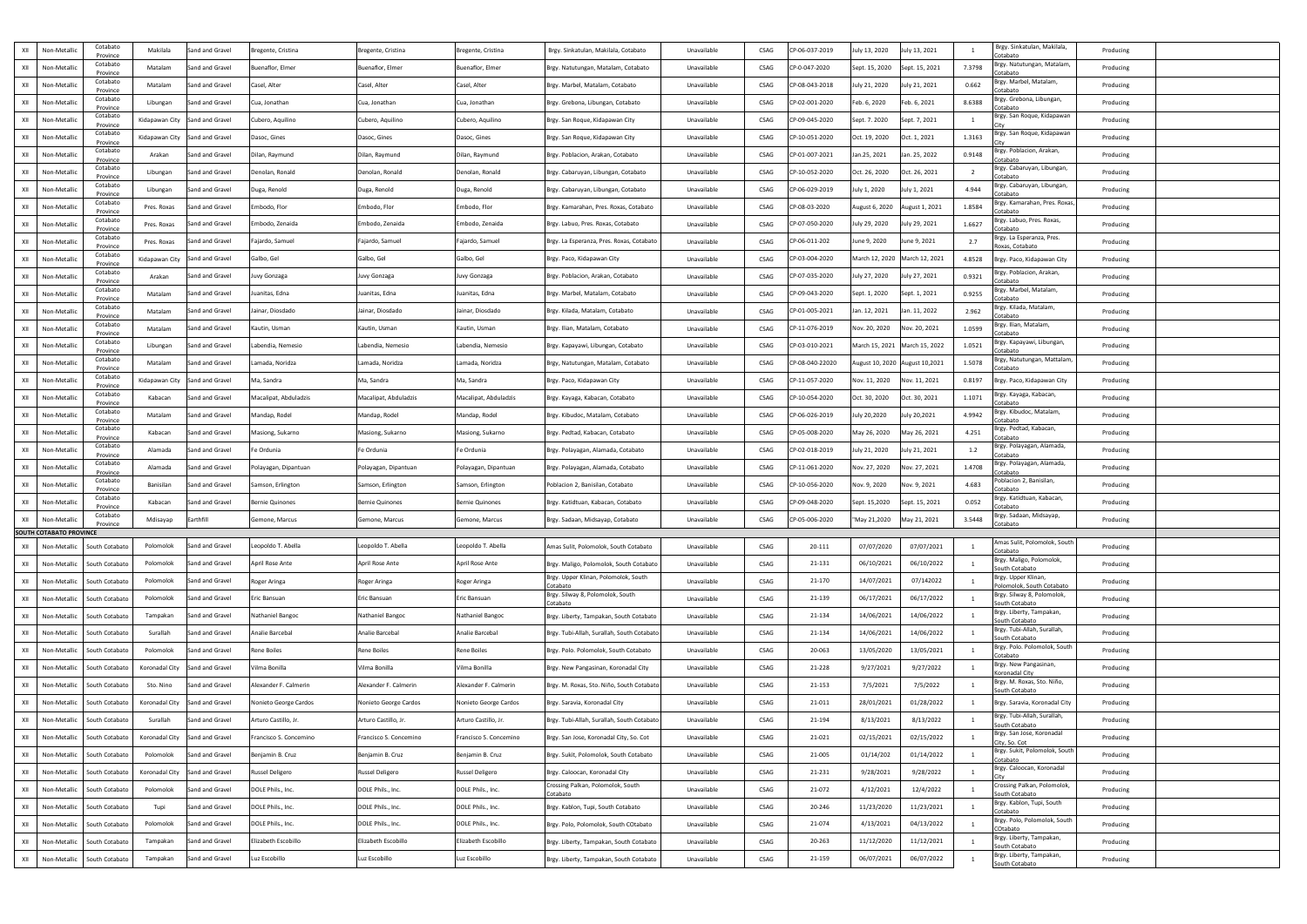| $\sim$ XII $\sim$ | Non-Metallic                   | Cotabato                      | Makilala                       | Sand and Gravel | regente, Cristina      | Bregente, Cristina     | Bregente, Cristina     | Brgy. Sinkatulan, Makilala, Cotabato                | Unavailable | CSAG        | CP-06-037-2019  | July 13, 2020                   | July 13, 2021                 |        | Brgy. Sinkatulan, Makilala,                                  | Producing |  |
|-------------------|--------------------------------|-------------------------------|--------------------------------|-----------------|------------------------|------------------------|------------------------|-----------------------------------------------------|-------------|-------------|-----------------|---------------------------------|-------------------------------|--------|--------------------------------------------------------------|-----------|--|
| XII               | Non-Metallic                   | Province<br>Cotabato          | Matalam                        | Sand and Gravel | Buenaflor, Elmer       | Buenaflor, Elmer       | Buenaflor, Elmer       | Brgy. Natutungan, Matalam, Cotabato                 | Unavailable | CSAG        | CP-0-047-2020   | Sept. 15, 2020                  | Sept. 15, 2021                | 7.3798 | Cotabato<br>Brgy. Natutungan, Matalam,                       | Producing |  |
|                   |                                | Province<br>Cotabato          |                                |                 |                        |                        |                        |                                                     |             |             |                 |                                 |                               |        | Cotabato<br>Brgy. Marbel, Matalam,                           |           |  |
| XII               | Non-Metallic                   | Province<br>Cotabato          | Matalam                        | Sand and Gravel | Casel, Alter           | Casel, Alter           | Casel, Alter           | Brgy. Marbel, Matalam, Cotabato                     | Unavailable | <b>CSAG</b> | CP-08-043-2018  | July 21, 2020                   | July 21, 2021                 | 0.662  | Cotabato<br>Brgy. Grebona, Libungan,                         | Producing |  |
| XII               | Non-Metallio                   | Province<br>Cotabato          | Libungan                       | Sand and Gravel | Cua, Jonathan          | Cua, Jonathan          | Cua, Jonathan          | Brgy. Grebona, Libungan, Cotabato                   | Unavailable | <b>CSAG</b> | CP-02-001-2020  | Feb. 6, 2020                    | Feb. 6, 2021                  | 8.6388 | Cotabato<br>Brgy. San Roque, Kidapawan                       | Producing |  |
| XII               | Non-Metallio                   | Province                      | Kidapawan City                 | Sand and Gravel | Cubero, Aquilino       | Cubero, Aquilino       | Cubero, Aquilino       | Brgy. San Roque, Kidapawan City                     | Unavailable | <b>CSAG</b> | CP-09-045-2020  | Sept. 7. 2020                   | Sept. 7, 2021                 |        |                                                              | Producing |  |
| XII               | Non-Metallic                   | Cotabato<br>Province          | Kidapawan City Sand and Gravel |                 | Dasoc, Gines           | Dasoc, Gines           | Dasoc, Gines           | Brgy. San Roque, Kidapawan City                     | Unavailable | CSAG        | CP-10-051-2020  | Oct. 19, 2020                   | Oct. 1, 2021                  | 1.3163 | Brgy. San Roque, Kidapawan                                   | Producing |  |
| XII               | Non-Metallic                   | Cotabato<br>Province          | Arakan                         | Sand and Gravel | Dilan, Raymund         | Dilan, Raymund         | Dilan, Raymund         | Brgy. Poblacion, Arakan, Cotabato                   | Unavailable | <b>CSAG</b> | CP-01-007-2021  | Jan.25, 2021                    | Jan. 25, 2022                 | 0.9148 | Brgy. Poblacion, Arakan,<br>Cotabato                         | Producing |  |
| XII               | Non-Metallio                   | Cotabato<br>Province          | Libungan                       | Sand and Gravel | Denolan, Ronald        | Denolan, Ronald        | Denolan, Ronald        | Brgy. Cabaruyan, Libungan, Cotabato                 | Unavailable | <b>CSAG</b> | CP-10-052-2020  | Oct. 26, 2020                   | Oct. 26, 2021                 |        | Brgy. Cabaruyan, Libungan,<br>Cotabato                       | Producing |  |
| XII               | Non-Metallic                   | Cotabato<br>Province          | Libungan                       | Sand and Gravel | Duga, Renold           | Duga, Renold           | Duga, Renold           | Brgy. Cabaruyan, Libungan, Cotabato                 | Unavailable | <b>CSAG</b> | CP-06-029-2019  | July 1, 2020                    | July 1, 2021                  | 4.944  | Brgy. Cabaruyan, Libungan,<br>Cotabato                       | Producing |  |
| XII               | Non-Metallic                   | Cotabato<br>Province          | Pres. Roxas                    | Sand and Gravel | Embodo, Flor           | Embodo, Flor           | Embodo, Flor           | Brgy. Kamarahan, Pres. Roxas, Cotabato              | Unavailable | <b>CSAG</b> | CP-08-03-2020   | August 6, 2020                  | August 1, 2021                | 1.8584 | Brgy. Kamarahan, Pres. Roxas,<br>Cotabato                    | Producing |  |
| XII               | Non-Metalli                    | Cotabato<br>Province          | Pres. Roxas                    | Sand and Gravel | Embodo, Zenaida        | Embodo, Zenaida        | Embodo, Zenaida        | Brgy. Labuo, Pres. Roxas, Cotabato                  | Unavailable | <b>CSAG</b> | CP-07-050-2020  | July 29, 2020                   | July 29, 2021                 | 1.6627 | Brgy. Labuo, Pres. Roxas,<br>`otabato                        | Producing |  |
| XII               | Non-Metallic                   | Cotabato                      | Pres. Roxas                    | Sand and Gravel | ajardo, Samuel         | Fajardo, Samuel        | Fajardo, Samuel        | Brgy. La Esperanza, Pres. Roxas, Cotabato           | Unavailable | <b>CSAG</b> | CP-06-011-202   | June 9, 2020                    | June 9, 2021                  | 2.7    | Brgy. La Esperanza, Pres.                                    | Producing |  |
| XII               | Non-Metallio                   | Province<br>Cotabato          | Kidapawan City                 | Sand and Gravel | Galbo, Gel             | Galbo, Gel             | Galbo, Gel             | Brgy. Paco, Kidapawan City                          | Unavailable | CSAG        | CP-03-004-2020  | March 12, 2020 March 12, 2021   |                               | 4.8528 | Roxas, Cotabato<br>Brgy. Paco, Kidapawan City                | Producing |  |
| XII               | Non-Metallic                   | Province<br>Cotabato          | Arakan                         | Sand and Gravel | Juvy Gonzaga           | Juvy Gonzaga           | Juvy Gonzaga           | Brgy. Poblacion, Arakan, Cotabato                   | Unavailable | CSAG        | CP-07-035-2020  | July 27, 2020                   | July 27, 2021                 | 0.9321 | Brgy. Poblacion, Arakan,                                     | Producing |  |
| XII               | Non-Metallio                   | Province<br>Cotabato          | Matalam                        | Sand and Gravel | Juanitas, Edna         | Juanitas, Edna         | Juanitas, Edna         | Brgy. Marbel, Matalam, Cotabato                     | Unavailable | CSAG        | CP-09-043-2020  | Sept. 1, 2020                   | Sept. 1, 2021                 | 0.9255 | Cotabato<br>Brgy. Marbel, Matalam,                           | Producing |  |
|                   |                                | Province<br>Cotabato          |                                |                 |                        |                        |                        |                                                     |             |             |                 |                                 |                               |        | Cotabato<br>Brgy. Kilada, Matalam,                           |           |  |
| XII               | Non-Metallic                   | Province<br>Cotabato          | Matalam                        | Sand and Gravel | Jainar, Diosdado       | Jainar, Diosdado       | Jainar, Diosdado       | Brgy. Kilada, Matalam, Cotabato                     | Unavailable | CSAG        | CP-01-005-2021  | Jan. 12, 2021                   | Jan. 11, 2022                 | 2.962  | Cotabato<br>Brgy. Ilian, Matalam,                            | Producing |  |
| XII               | Non-Metallic                   | Province<br>Cotabato          | Matalam                        | Sand and Gravel | Kautin, Usman          | Kautin, Usman          | Kautin, Usman          | Brgy. Ilian, Matalam, Cotabato                      | Unavailable | CSAG        | CP-11-076-2019  | Nov. 20, 2020                   | Nov. 20, 2021                 | 1.0599 | Cotabato<br>Brgy. Kapayawi, Libungan,                        | Producing |  |
| XII               | Non-Metallic                   | Province                      | Libungan                       | Sand and Gravel | Labendia, Nemesio      | Labendia, Nemesio      | Labendia, Nemesio      | Brgy. Kapayawi, Libungan, Cotabato                  | Unavailable | CSAG        | CP-03-010-2021  |                                 | March 15, 2021 March 15, 2022 | 1.0521 | Cotabato                                                     | Producing |  |
| XII               | Non-Metallic                   | Cotabato<br>Province          | Matalam                        | Sand and Gravel | Lamada, Noridza        | Lamada, Noridza        | Lamada, Noridza        | Brgy, Natutungan, Matalam, Cotabato                 | Unavailable | CSAG        | CP-08-040-22020 | August 10, 2020 August 10, 2021 |                               | 1.5078 | Brgy, Natutungan, Mattalam,<br>Cotabato                      | Producing |  |
| XII               | Non-Metallic                   | Cotabato<br>Province          | Kidapawan City Sand and Gravel |                 | Ma, Sandra             | Ma, Sandra             | Ma, Sandra             | Brgy. Paco, Kidapawan City                          | Unavailable | <b>CSAG</b> | CP-11-057-2020  | Nov. 11, 2020                   | Nov. 11, 2021                 | 0.8197 | Brgy. Paco, Kidapawan City                                   | Producing |  |
| XII               | Non-Metallic                   | Cotabato<br>Province          | Kabacan                        | Sand and Gravel | Macalipat, Abduladzis  | Macalipat, Abduladzis  | Macalipat, Abduladzis  | Brgy. Kayaga, Kabacan, Cotabato                     | Unavailable | CSAG        | CP-10-054-2020  | Oct. 30, 2020                   | Oct. 30, 2021                 | 1.1071 | Brgy. Kayaga, Kabacan,<br>Cotabato                           | Producing |  |
| XII               | Non-Metallio                   | Cotabato<br>Province          | Matalam                        | Sand and Gravel | Mandap, Rodel          | Mandap, Rodel          | Mandap, Rodel          | Brgy. Kibudoc, Matalam, Cotabato                    | Unavailable | <b>CSAG</b> | CP-06-026-2019  | July 20,2020                    | July 20,2021                  | 4.9942 | Brgy. Kibudoc, Matalam,<br>Cotabato                          | Producing |  |
| XII               | Non-Metallic                   | Cotabato<br>Province          | Kabacan                        | Sand and Gravel | Masiong, Sukarno       | Masiong, Sukarno       | Masiong, Sukarno       | Brgy. Pedtad, Kabacan, Cotabato                     | Unavailable | <b>CSAG</b> | CP-05-008-2020  | May 26, 2020                    | May 26, 2021                  | 4.251  | Brgy. Pedtad, Kabacan,<br>Cotabato                           | Producing |  |
| XII               | Non-Metallic                   | Cotabato<br>Province          | Alamada                        | Sand and Gravel | Fe Ordunia             | Fe Ordunia             | Fe Ordunia             | Brgy. Polayagan, Alamada, Cotabato                  | Unavailable | <b>CSAG</b> | CP-02-018-2019  | July 21, 2020                   | July 21, 2021                 | 1.2    | Brgy. Polayagan, Alamada,<br>Cotabato                        | Producing |  |
| XII               | Non-Metallio                   | Cotabato<br>Province          | Alamada                        | Sand and Gravel | Polayagan, Dipantuan   | Polayagan, Dipantuan   | Polayagan, Dipantuan   | Brgy. Polayagan, Alamada, Cotabato                  | Unavailable | <b>CSAG</b> | CP-11-061-2020  | Nov. 27, 2020                   | Nov. 27, 2021                 | 1.4708 | Brgy. Polayagan, Alamada,<br>Cotabato                        | Producing |  |
| XII               | Non-Metallio                   | Cotabato<br>Province          | Banisilan                      | Sand and Gravel | Samson, Erlington      | Samson, Erlington      | Samson, Erlington      | Poblacion 2, Banisilan, Cotabato                    | Unavailable | <b>CSAG</b> | CP-10-056-2020  | Nov. 9, 2020                    | Nov. 9, 2021                  | 4.683  | Poblacion 2, Banisilan,<br>Cotabato                          | Producing |  |
| XII               | Non-Metallio                   | Cotabato                      | Kabacan                        | Sand and Gravel | <b>Bernie Quinones</b> | Bernie Quinones        | Bernie Quinones        | Brgy. Katidtuan, Kabacan, Cotabato                  | Unavailable | <b>CSAG</b> | CP-09-048-2020  | Sept. 15,2020                   | Sept. 15, 2021                | 0.052  | Brgy. Katidtuan, Kabacan,                                    | Producing |  |
| XII               | Non-Metallic                   | Province<br>Cotabato          | Mdisayap                       | Earthfill       | Gemone, Marcus         | Gemone, Marcus         | Gemone, Marcus         | Brgy. Sadaan, Midsayap, Cotabato                    | Unavailable | CSAG        | CP-05-006-2020  | "May 21,2020                    | May 21, 2021                  | 3.5448 | Cotabato<br>Brgy. Sadaan, Midsayap,                          | Producing |  |
|                   | <b>SOUTH COTABATO PROVINCE</b> | Province                      |                                |                 |                        |                        |                        |                                                     |             |             |                 |                                 |                               |        | Cotabato                                                     |           |  |
| XII               | Non-Metallic                   | South Cotabato                | Polomolok                      | Sand and Gravel | Leopoldo T. Abella     | Leopoldo T. Abella     | Leopoldo T. Abella     | Amas Sulit, Polomolok, South Cotabato               | Unavailable | CSAG        | 20-111          | 07/07/2020                      | 07/07/2021                    |        | Amas Sulit, Polomolok, South<br>Cotabato                     | Producing |  |
| XII               | Non-Metallic                   | South Cotabato                | Polomolok                      | Sand and Gravel | April Rose Ante        | April Rose Ante        | April Rose Ante        | Brgy. Maligo, Polomolok, South Cotabato             | Unavailable | CSAG        | 21-131          | 06/10/2021                      | 06/10/2022                    |        | Brgy. Maligo, Polomolok,<br>South Cotabato                   | Producing |  |
| XII               | Non-Metallic                   | South Cotabato                | Polomolok                      | Sand and Gravel | Roger Aringa           | Roger Aringa           | Roger Aringa           | Brgy. Upper Klinan, Polomolok, South<br>Cotabato    | Unavailable | CSAG        | 21-170          | 14/07/2021                      | 07/142022                     |        | Brgy. Upper Klinan,<br>Polomolok, South Cotabato             | Producing |  |
| XII               | Non-Metallic                   | South Cotabato                | Polomolok                      | Sand and Gravel | Eric Bansuan           | Eric Bansuan           | Eric Bansuan           | Brgy. Silway 8, Polomolok, South                    | Unavailable | CSAG        | 21-139          | 06/17/2021                      | 06/17/2022                    |        | Brgy. Silway 8, Polomolok,                                   | Producing |  |
| XII               | Non-Metallic                   | South Cotabato                | Tampakan                       | Sand and Gravel | Nathaniel Bangoc       | Nathaniel Bangoc       | Nathaniel Bangoc       | Cotabato<br>Brgy. Liberty, Tampakan, South Cotabato | Unavailable | CSAG        | 21-134          | 14/06/2021                      | 14/06/2022                    |        | South Cotabato<br>Brgy. Liberty, Tampakan,                   | Producing |  |
| XII               | Non-Metallic                   | South Cotabato                | Surallah                       | Sand and Gravel | Analie Barcebal        | Analie Barcebal        | Analie Barcebal        | Brgy. Tubi-Allah, Surallah, South Cotabato          | Unavailable | CSAG        | 21-134          | 14/06/2021                      | 14/06/2022                    |        | South Cotabato<br>Brgy. Tubi-Allah, Surallah,                | Producing |  |
| XII               | Non-Metalli                    | South Cotabato                | Polomolok                      | Sand and Gravel | Rene Boiles            | Rene Boiles            | Rene Boiles            | Brgy. Polo. Polomolok, South Cotabato               | Unavailable | CSAG        | 20-063          | 13/05/2020                      | 13/05/2021                    |        | South Cotabato<br>Brgy. Polo. Polomolok, South               | Producing |  |
| XII               | Non-Metallic                   | South Cotabato                | Koronadal City                 | Sand and Gravel | /ilma Bonilla          | Vilma Bonilla          | Vilma Bonilla          | Brgy. New Pangasinan, Koronadal City                | Unavailable | CSAG        | 21-228          | 9/27/2021                       | 9/27/2022                     |        | Cotabato<br>Brgy. New Pangasinan,                            | Producing |  |
|                   |                                |                               | Sto. Nino                      |                 | Alexander F. Calmerin  | Alexander F. Calmerin  | Alexander F. Calmerin  |                                                     |             |             |                 | 7/5/2021                        |                               |        | Koronadal City<br>Brgy. M. Roxas, Sto. Niño,                 |           |  |
| XII               | Non-Metallic                   | South Cotabato                |                                | Sand and Gravel |                        |                        |                        | Brgy. M. Roxas, Sto. Niño, South Cotabato           | Unavailable | CSAG        | 21-153          |                                 | 7/5/2022                      |        | South Cotabato                                               | Producing |  |
| XII               | Non-Metallic                   | South Cotabato                | Koronadal City                 | Sand and Gravel | Nonieto George Cardos  | Nonieto George Cardos  | Nonieto George Cardos  | Brgy. Saravia, Koronadal City                       | Unavailable | CSAG        | 21-011          | 28/01/2021                      | 01/28/2022                    |        | Brgy. Saravia, Koronadal City<br>Brgy. Tubi-Allah, Surallah, | Producing |  |
| XII               | Non-Metallic                   | South Cotabato                | Surallah                       | Sand and Gravel | Arturo Castillo, Jr.   | Arturo Castillo, Jr.   | Arturo Castillo, Jr.   | Brgy. Tubi-Allah, Surallah, South Cotabat           | Unavailable | CSAG        | 21-194          | 8/13/2021                       | 8/13/2022                     |        | South Cotabato<br>Brgy. San Jose, Koronadal                  | Producing |  |
|                   |                                | Non-Metallic   South Cotabato | Koronadal City Sand and Gravel |                 | Francisco S. Concemino | Francisco S. Concemino | Francisco S. Concemino | Brgy. San Jose, Koronadal City, So. Cot             | Unavailable | CSAG        | 21-021          | 02/15/2021                      | 02/15/2022                    |        | City, So. Cot                                                | Producing |  |
| XII               | Non-Metallic                   | South Cotabato                | Polomolok                      | Sand and Gravel | Benjamin B. Cruz       | Benjamin B. Cruz       | Benjamin B. Cruz       | Brgy. Sukit, Polomolok, South Cotabato              | Unavailable | CSAG        | 21-005          | 01/14/202                       | 01/14/2022                    |        | Brgy. Sukit, Polomolok, South<br>Cotabato                    | Producing |  |
| XII               | Non-Metallic                   | South Cotabato                | Koronadal City                 | Sand and Gravel | Russel Deligero        | Russel Deligero        | Russel Deligero        | Brgy. Caloocan, Koronadal City                      | Unavailable | CSAG        | 21-231          | 9/28/2021                       | 9/28/2022                     |        | Brgy. Caloocan, Koronadal                                    | Producing |  |
| XII               | Non-Metallic                   | South Cotabato                | Polomolok                      | Sand and Gravel | DOLE Phils., Inc.      | DOLE Phils., Inc.      | DOLE Phils., Inc.      | Crossing Palkan, Polomolok, South<br>Cotabato       | Unavailable | CSAG        | 21-072          | 4/12/2021                       | 12/4/2022                     |        | Crossing Palkan, Polomolok,<br>South Cotabato                | Producing |  |
| XII               | Non-Metallic                   | South Cotabato                | Tupi                           | Sand and Gravel | DOLE Phils., Inc.      | DOLE Phils., Inc.      | DOLE Phils., Inc.      | Brgy. Kablon, Tupi, South Cotabato                  | Unavailable | CSAG        | 20-246          | 11/23/2020                      | 11/23/2021                    |        | Brgy. Kablon, Tupi, South<br>Cotabato                        | Producing |  |
| XII               | Non-Metallic                   | South Cotabato                | Polomolok                      | Sand and Gravel | DOLE Phils., Inc.      | DOLE Phils., Inc.      | DOLE Phils., Inc.      | Brgy. Polo, Polomolok, South COtabato               | Unavailable | <b>CSAG</b> | 21-074          | 4/13/2021                       | 04/13/2022                    |        | Brgy. Polo, Polomolok, South<br>COtabato                     | Producing |  |
| XII               | Non-Metallic                   | South Cotabato                | Tampakan                       | Sand and Gravel | Elizabeth Escobillo    | Elizabeth Escobillo    | Elizabeth Escobillo    | Brgy. Liberty, Tampakan, South Cotabato             | Unavailable | CSAG        | 20-263          | 11/12/2020                      | 11/12/2021                    |        | Brgy. Liberty, Tampakan,<br>South Cotabato                   | Producing |  |
| XII               | Non-Metallic                   | South Cotabato                | Tampakan                       | Sand and Gravel | Luz Escobillo          | Luz Escobillo          | Luz Escobillo          | Brgy. Liberty, Tampakan, South Cotabato             | Unavailable | CSAG        | 21-159          | 06/07/2021                      | 06/07/2022                    |        | Brgy. Liberty, Tampakan,<br>South Cotabato                   | Producing |  |
|                   |                                |                               |                                |                 |                        |                        |                        |                                                     |             |             |                 |                                 |                               |        |                                                              |           |  |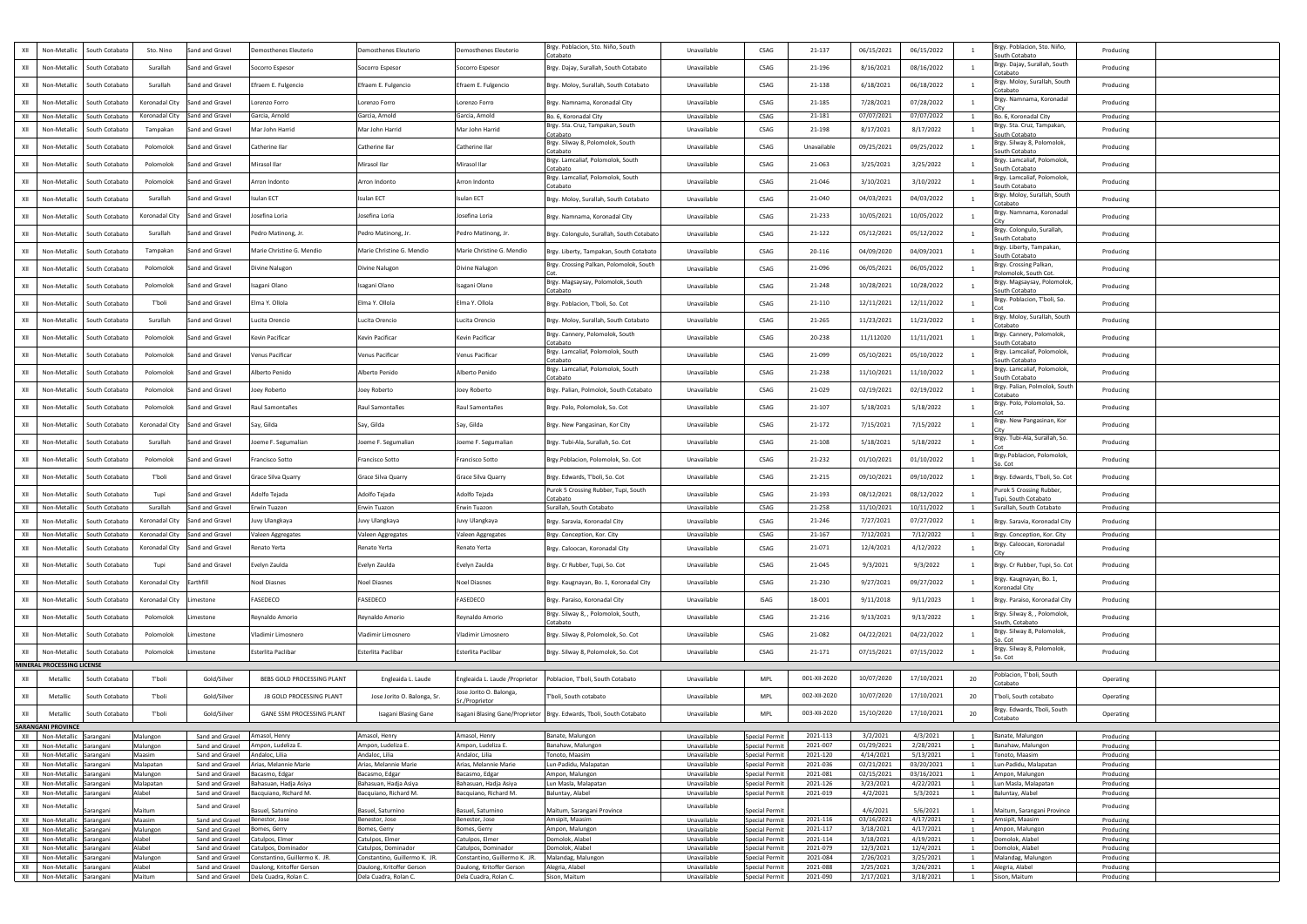| XII                   | Non-Metallic                                     | South Cotabato              | Sto. Nino                        | Sand and Gravel                    | Demosthenes Eleuterio                          | Demosthenes Eleuterio                          | Demosthenes Eleuterio                          | Brgy. Poblacion, Sto. Niño, South                                        | Unavailable                | CSAG                                           | 21-137               | 06/15/2021              | 06/15/2022               |     | Brgy. Poblacion, Sto. Niño,                         | Producing              |  |
|-----------------------|--------------------------------------------------|-----------------------------|----------------------------------|------------------------------------|------------------------------------------------|------------------------------------------------|------------------------------------------------|--------------------------------------------------------------------------|----------------------------|------------------------------------------------|----------------------|-------------------------|--------------------------|-----|-----------------------------------------------------|------------------------|--|
| XII                   | Non-Metallic                                     | South Cotabato              | Surallah                         | Sand and Gravel                    | Socorro Espesor                                | Socorro Espesor                                | Socorro Espesor                                | Cotabato<br>Brgy. Dajay, Surallah, South Cotabato                        | Unavailable                | <b>CSAG</b>                                    | 21-196               | 8/16/2021               | 08/16/2022               |     | South Cotabato<br>Brgy. Dajay, Surallah, South      | Producing              |  |
| XII                   | Non-Metallic                                     | South Cotabato              | Surallah                         | Sand and Gravel                    | Efraem E. Fulgencio                            | Efraem E. Fulgencio                            | Efraem E. Fulgencio                            | Brgy. Moloy, Surallah, South Cotabato                                    | Unavailable                | CSAG                                           | 21-138               | 6/18/2021               | 06/18/2022               |     | Cotabato<br>Brgy. Moloy, Surallah, South            | Producing              |  |
|                       |                                                  |                             |                                  |                                    | orenzo Forro                                   |                                                |                                                |                                                                          |                            |                                                |                      |                         |                          |     | Cotabato<br>Brgy. Namnama, Koronadal                |                        |  |
| XII                   | Non-Metallic                                     | South Cotabatc              | Koronadal City<br>Koronadal City | Sand and Gravel                    |                                                | Lorenzo Forro                                  | Lorenzo Forro                                  | Brgy. Namnama, Koronadal City                                            | Unavailable                | <b>CSAG</b>                                    | 21-185               | 7/28/2021               | 07/28/2022<br>07/07/2022 |     |                                                     | Producing              |  |
| XII                   | Non-Metalli                                      | South Cotabato              |                                  | Sand and Gravel                    | Garcia, Arnold                                 | Garcia, Arnold                                 | Garcia, Arnold                                 | Bo. 6, Koronadal City<br>Brgy. Sta. Cruz, Tampakan, South                | Unavailable                | CSAG                                           | 21-181               | 07/07/2021              |                          |     | Bo. 6. Koronadal City<br>Brgy. Sta. Cruz, Tampakan, | Producing              |  |
| XII                   | Non-Metallio                                     | South Cotabatc              | Tampakan                         | Sand and Gravel                    | Mar John Harrid                                | Mar John Harrid                                | Mar John Harrid                                | Cotabato<br>Brgy. Silway 8, Polomolok, South                             | Unavailable                | CSAG                                           | 21-198               | 8/17/2021               | 8/17/2022                |     | South Cotabato<br>Brgy. Silway 8, Polomolok,        | Producing              |  |
| XII                   | Non-Metallic                                     | South Cotabato              | Polomolok                        | Sand and Gravel                    | Catherine Ilar                                 | Catherine Ilar                                 | Catherine Ilar                                 | otabato:                                                                 | Unavailable                | <b>CSAG</b>                                    | Unavailable          | 09/25/2021              | 09/25/2022               |     | South Cotabato                                      | Producing              |  |
| XII                   | Non-Metallic                                     | South Cotabato              | Polomolok                        | Sand and Gravel                    | Mirasol Ilar                                   | Mirasol Ilar                                   | Mirasol Ilar                                   | Brgy. Lamcaliaf, Polomolok, South<br>`otabato                            | Unavailable                | CSAG                                           | 21-063               | 3/25/2021               | 3/25/2022                |     | Brgy. Lamcaliaf, Polomolok,<br>South Cotabato       | Producing              |  |
| XII                   | Non-Metallic                                     | South Cotabatc              | Polomolok                        | Sand and Gravel                    | Arron Indonto                                  | Arron Indonto                                  | Arron Indonto                                  | Brgy. Lamcaliaf, Polomolok, South<br>Cotabato                            | Unavailable                | CSAG                                           | 21-046               | 3/10/2021               | 3/10/2022                |     | Brgy. Lamcaliaf, Polomolok,<br>South Cotabato       | Producing              |  |
| XII                   | Non-Metallio                                     | South Cotabatc              | Surallah                         | Sand and Gravel                    | <b>Isulan ECT</b>                              | Isulan ECT                                     | Isulan ECT                                     | Brgy. Moloy, Surallah, South Cotabato                                    | Unavailable                | CSAG                                           | 21-040               | 04/03/2021              | 04/03/2022               |     | Brgy. Moloy, Surallah, South<br>Cotabato            | Producing              |  |
| XII                   | Non-Metallio                                     | South Cotabato              | Koronadal City                   | Sand and Gravel                    | osefina Loria                                  | losefina Loria                                 | Josefina Loria                                 | Brgy. Namnama, Koronadal City                                            | Unavailable                | CSAG                                           | 21-233               | 10/05/2021              | 10/05/2022               |     | Brgy. Namnama, Koronadal                            | Producing              |  |
| XII                   | Non-Metallio                                     | South Cotabato              | Surallah                         | Sand and Gravel                    | Pedro Matinong, Jr.                            | Pedro Matinong, Jr.                            | Pedro Matinong, Jr.                            | Brgy. Colongulo, Surallah, South Cotabato                                | Unavailable                | <b>CSAG</b>                                    | 21-122               | 05/12/2021              | 05/12/2022               |     | Brgy. Colongulo, Surallah,<br>South Cotabato        | Producing              |  |
| XII                   | Non-Metallio                                     | South Cotabatc              | Tampakan                         | Sand and Gravel                    | Marie Christine G. Mendio                      | Marie Christine G. Mendio                      | Marie Christine G. Mendio                      | Brgy. Liberty, Tampakan, South Cotabato                                  | Unavailable                | CSAG                                           | 20-116               | 04/09/2020              | 04/09/2021               |     | Brgy. Liberty, Tampakan,                            | Producing              |  |
| XII                   | Non-Metallio                                     | South Cotabato              | Polomolok                        | Sand and Gravel                    | ivine Nalugon                                  | Divine Nalugon                                 | Divine Nalugon                                 | Brgy. Crossing Palkan, Polomolok, South                                  | Unavailable                | CSAG                                           | 21-096               | 06/05/2021              | 06/05/2022               |     | South Cotabato<br>Brgy. Crossing Palkan,            | Producing              |  |
| XII                   | Non-Metallic                                     | South Cotabato              | Polomolok                        | Sand and Gravel                    | sagani Olano                                   | Isagani Olano                                  | Isagani Olano                                  | 3rgy. Magsaysay, Polomolok, South                                        | Unavailable                | <b>CSAG</b>                                    | 21-248               | 10/28/2021              | 10/28/2022               |     | Polomolok, South Cot<br>Brgy. Magsaysay, Polomolok, | Producing              |  |
| XII                   |                                                  | South Cotabato              | T'boli                           | Sand and Gravel                    | Elma Y. Ollola                                 | Elma Y. Ollola                                 | Elma Y. Ollola                                 | otabato:                                                                 | Unavailable                | CSAG                                           | 21-110               | 12/11/2021              | 12/11/2022               |     | South Cotabato<br>Brgy. Poblacion, T'boli, So.      |                        |  |
|                       | Non-Metallic                                     |                             |                                  |                                    |                                                |                                                |                                                | Brgy. Poblacion, T'boli, So. Cot                                         |                            |                                                |                      |                         |                          |     | Brgy. Moloy, Surallah, South                        | Producing              |  |
| XII                   | Non-Metallio                                     | South Cotabatc              | Surallah                         | Sand and Gravel                    | ucita Orencio                                  | ucita Orencio                                  | Lucita Orencio                                 | Brgy. Moloy, Surallah, South Cotabato<br>Brgy. Cannery, Polomolok, South | Unavailable                | CSAG                                           | 21-265               | 11/23/2021              | 11/23/2022               |     | Cotabato<br>Brgy. Cannery, Polomolok,               | Producing              |  |
| XII                   | Non-Metallio                                     | South Cotabato              | Polomolok                        | Sand and Gravel                    | kevin Pacificar                                | Kevin Pacificar                                | Kevin Pacificar                                | otabato:<br>Brgy. Lamcaliaf, Polomolok, South                            | Unavailable                | CSAG                                           | 20-238               | 11/112020               | 11/11/2021               |     | South Cotabato<br>Brgy. Lamcaliaf, Polomolok,       | Producing              |  |
| XII                   | Non-Metallic                                     | South Cotabato              | Polomolok                        | Sand and Gravel                    | Venus Pacificar                                | Venus Pacificar                                | Venus Pacificar                                | `otabato                                                                 | Unavailable                | CSAG                                           | 21-099               | 05/10/2021              | 05/10/2022               |     | South Cotabato                                      | Producing              |  |
| XII                   | Non-Metallic                                     | South Cotabato              | Polomolok                        | Sand and Gravel                    | Alberto Penido                                 | Alberto Penido                                 | Alberto Penido                                 | Brgy. Lamcaliaf, Polomolok, South<br>`otabato                            | Unavailable                | CSAG                                           | 21-238               | 11/10/2021              | 11/10/2022               |     | Brgy. Lamcaliaf, Polomolok,<br>South Cotabato       | Producing              |  |
|                       |                                                  | Non-Metallic South Cotabato | Polomolok                        | Sand and Gravel                    | Joey Roberto                                   | Joey Roberto                                   | Joey Roberto                                   | Brgy. Palian, Polmolok, South Cotabato                                   | Unavailable                | CSAG                                           | 21-029               | 02/19/2021              | 02/19/2022               |     | Brgy. Palian, Polmolok, South<br>Cotabato           | Producing              |  |
| XII                   | Non-Metallic                                     | South Cotabato              | Polomolok                        | Sand and Gravel                    | Raul Samontañes                                | Raul Samontañes                                | Raul Samontañes                                | Brgy. Polo, Polomolok, So. Cot                                           | Unavailable                | CSAG                                           | 21-107               | 5/18/2021               | 5/18/2022                |     | Brgy. Polo, Polomolok, So.                          | Producing              |  |
| XII                   | Non-Metallic                                     | South Cotabato              | Koronadal City                   | Sand and Gravel                    | Say, Gilda                                     | Say, Gilda                                     | Say, Gilda                                     | Brgy. New Pangasinan, Kor City                                           | Unavailable                | CSAG                                           | 21-172               | 7/15/2021               | 7/15/2022                |     | Brgy. New Pangasinan, Kor                           | Producing              |  |
| XII                   | Non-Metallic                                     | South Cotabato              | Surallah                         | Sand and Gravel                    | Joeme F. Segumalian                            | Joeme F. Segumalian                            | Joeme F. Segumalian                            | Brgy. Tubi-Ala, Surallah, So. Cot                                        | Unavailable                | CSAG                                           | 21-108               | 5/18/2021               | 5/18/2022                |     | Brgy. Tubi-Ala, Surallah, So.                       | Producing              |  |
| XII                   | Non-Metallic                                     | South Cotabato              | Polomolok                        | Sand and Gravel                    | rancisco Sotto                                 | Francisco Sotto                                | Francisco Sotto                                | Brgy.Poblacion, Polomolok, So. Cot                                       | Unavailable                | CSAG                                           | 21-232               | 01/10/2021              | 01/10/2022               |     | Brgy.Poblacion, Polomolok,<br>So. Cot               | Producing              |  |
| XII                   | Non-Metallic                                     | South Cotabatc              | T'boli                           | Sand and Gravel                    | Grace Silva Quarry                             | Grace Silva Quarry                             | Grace Silva Quarry                             | Brgy. Edwards, T'boli, So. Cot                                           | Unavailable                | CSAG                                           | 21-215               | 09/10/2021              | 09/10/2022               |     | Brgy. Edwards, T'boli, So. Cot                      | Producing              |  |
| XII                   | Non-Metallio                                     | South Cotabato              | Tupi                             | Sand and Gravel                    | Adolfo Tejada                                  | Adolfo Tejada                                  | Adolfo Tejada                                  | Purok 5 Crossing Rubber, Tupi, South                                     | Unavailable                | CSAG                                           | 21-193               | 08/12/2021              | 08/12/2022               |     | Purok 5 Crossing Rubber,                            | Producing              |  |
| XII                   | Non-Metalli                                      | South Cotabato              | Surallah                         | Sand and Gravel                    | rwin Tuazon                                    | Erwin Tuazon                                   | Erwin Tuazon                                   | `otabato<br>Surallah, South Cotabato                                     | Unavailable                | <b>CSAG</b>                                    | 21-258               | 11/10/2021              | 10/11/2022               |     | Tupi, South Cotabato<br>Surallah, South Cotabato    | Producing              |  |
| XII                   | Non-Metallio                                     | South Cotabato              | Koronadal City                   | Sand and Gravel                    | Juvy Ulangkaya                                 | luvy Ulangkaya                                 | Juvy Ulangkaya                                 | Brgy. Saravia, Koronadal City                                            | Unavailable                | <b>CSAG</b>                                    | 21-246               | 7/27/2021               | 07/27/2022               |     | Brgy. Saravia, Koronadal City                       | Producing              |  |
| XII                   | Non-Metallic                                     | South Cotabato              | Koronadal City                   | Sand and Gravel                    | aleen Aggregates                               | Valeen Aggregates                              | Valeen Aggregates                              | Brgy. Conception, Kor. City                                              | Unavailable                | <b>CSAG</b>                                    | 21-167               | 7/12/2021               | 7/12/2022                |     | Brgy. Conception, Kor. City                         | Producing              |  |
| XII                   | Non-Metallio                                     | South Cotabatc              | Koronadal City                   | Sand and Gravel                    | Renato Yerta                                   | Renato Yerta                                   | Renato Yerta                                   | Brgy. Caloocan, Koronadal City                                           | Unavailable                | <b>CSAG</b>                                    | 21-071               | 12/4/2021               | 4/12/2022                |     | Brgy. Caloocan, Koronadal                           | Producing              |  |
| XII                   | Non-Metallic                                     | South Cotabato              | Tupi                             | Sand and Gravel                    | Evelyn Zaulda                                  | Evelyn Zaulda                                  | Evelyn Zaulda                                  | Brgy. Cr Rubber, Tupi, So. Cot                                           | Unavailable                | <b>CSAG</b>                                    | 21-045               | 9/3/2021                | 9/3/2022                 |     | Brgy. Cr Rubber, Tupi, So. Cot                      | Producing              |  |
| XII                   | Non-Metallic                                     | South Cotabato              | Koronadal City                   | Earthfill                          | <b>Noel Diasnes</b>                            | <b>Noel Diasnes</b>                            | <b>Noel Diasnes</b>                            | Brgy. Kaugnayan, Bo. 1, Koronadal City                                   | Unavailable                | CSAG                                           | 21-230               | 9/27/2021               | 09/27/2022               |     | Brgy. Kaugnayan, Bo. 1,                             | Producing              |  |
| XII                   | Non-Metallic                                     | South Cotabato              | Koronadal City                   | Limestone                          | FASEDECO                                       | ASEDECO                                        | FASEDECO                                       | Brgy. Paraiso, Koronadal City                                            | Unavailable                | ISAG                                           | 18-001               | 9/11/2018               | 9/11/2023                |     | Koronadal City<br>Brgy. Paraiso, Koronadal City     | Producing              |  |
| XII                   | Non-Metallic                                     | South Cotabato              | Polomolok                        | .imestone                          | Reynaldo Amorio                                | Reynaldo Amorio                                | Reynaldo Amorio                                | Brgy. Silway 8, , Polomolok, South,                                      | Unavailable                | CSAG                                           | 21-216               | 9/13/2021               | 9/13/2022                |     | Brgy. Silway 8, , Polomolok,                        | Producing              |  |
| XII                   | Non-Metallic                                     | South Cotabato              | Polomolok                        | .imestone                          | Vladimir Limosnero                             | Vladimir Limosnero                             | Vladimir Limosnero                             | otabato:<br>Brgy. Silway 8, Polomolok, So. Cot                           | Unavailable                | CSAG                                           | 21-082               | 04/22/2021              | 04/22/2022               |     | South, Cotabato<br>Brgy. Silway 8, Polomolok,       | Producing              |  |
| XII                   | Non-Metallic                                     | South Cotabato              | Polomolok                        | .imestone                          | Esterlita Paclibar                             | Esterlita Paclibar                             | Esterlita Paclibar                             | Brgy. Silway 8, Polomolok, So. Cot                                       | Unavailable                | CSAG                                           | 21-171               | 07/15/2021              | 07/15/2022               |     | So. Cot<br>Brgy. Silway 8, Polomolok,               | Producing              |  |
|                       | MINERAL PROCESSING LICENSE                       |                             |                                  |                                    |                                                |                                                |                                                |                                                                          |                            |                                                |                      |                         |                          |     | So. Cot                                             |                        |  |
| XII                   | Metallic                                         | South Cotabato              | T'boli                           | Gold/Silver                        | BEBS GOLD PROCESSING PLANT                     | Engleaida L. Laude                             | Engleaida L. Laude / Proprietor                | Poblacion, T'boli, South Cotabato                                        | Unavailable                | <b>MPL</b>                                     | 001-XII-2020         | 10/07/2020              | 17/10/2021               | 20  | Poblacion, T'boli, South<br>Cotabato                | Operating              |  |
| XII                   | Metallic                                         | South Cotabato              | T'boli                           | Gold/Silver                        | JB GOLD PROCESSING PLANT                       | Jose Jorito O. Balonga, Sr.                    | lose Jorito O. Balonga,                        | boli, South cotabato"                                                    | Unavailable                | MPL                                            | 002-XII-2020         | 10/07/2020              | 17/10/2021               | -20 | T'boli, South cotabato                              | Operating              |  |
| XII                   | Metallic                                         | South Cotabato              | T'boli                           | Gold/Silver                        | GANE SSM PROCESSING PLANT                      | Isagani Blasing Gane                           | Sr./Proprietor                                 | Isagani Blasing Gane/Proprietor   Brgy. Edwards, Tboli, South Cotabato   | Unavailable                | <b>MPL</b>                                     | 003-XII-2020         | 15/10/2020              | 17/10/2021               | 20  | Brgy. Edwards, Tboli, South                         | Operating              |  |
|                       | <b>SARANGANI PROVINCE</b>                        |                             |                                  |                                    |                                                |                                                |                                                |                                                                          |                            |                                                |                      |                         |                          |     | Cotabato                                            |                        |  |
|                       | XII Non-Metallic Sarangani                       |                             | Malungon                         | Sand and Gravel Amasol, Henry      |                                                | Amasol, Henry                                  | Amasol, Henry                                  | Banate, Malungon                                                         | Unavailable                | Special Permit                                 | 2021-113             | 3/2/2021                | 4/3/2021                 |     | Banate, Malungon                                    | Producing              |  |
| XII I<br>$XII$ $\Box$ | Non-Metallic Sarangani<br>Non-Metallic Sarangani |                             | Malungon<br>Maasim               | Sand and Gravel<br>Sand and Gravel | Ampon, Ludeliza E.<br>Andaloc, Lilia           | Ampon, Ludeliza E.<br>Andaloc, Lilia           | Ampon, Ludeliza E.<br>Andaloc, Lilia           | Banahaw, Malungon<br>Tonoto, Maasim                                      | Unavailable<br>Unavailable | <b>Special Permit</b><br><b>Special Permit</b> | 2021-007<br>2021-120 | 01/29/2021<br>4/14/2021 | 2/28/2021<br>5/13/2021   |     | Banahaw, Malungon<br>Tonoto, Maasim                 | Producing<br>Producing |  |
| XII                   | Non-Metallic                                     | Sarangani                   | Malapatan                        | Sand and Gravel                    | Arias, Melannie Marie                          | Arias, Melannie Marie                          | Arias, Melannie Marie                          | Lun-Padidu, Malapatan                                                    | Unavailable                | <b>Special Permit</b>                          | 2021-036             | 02/21/2021              | 03/20/2021               |     | Lun-Padidu, Malapatan                               | Producing              |  |
| XII                   | Non-Metallic                                     | Sarangani                   | Malungon                         | Sand and Gravel                    | Bacasmo, Edgar                                 | Bacasmo, Edgar                                 | Bacasmo, Edgar                                 | Ampon, Malungon                                                          | Unavailable                | <b>Special Permit</b>                          | 2021-081             | 02/15/2021              | 03/16/2021               |     | Ampon, Malungon                                     | Producing              |  |
| XII<br>XII            | Non-Metallic<br>Non-Metallic                     | Sarangani<br>Sarangani      | Malapatan<br>Alabel              | Sand and Gravel<br>Sand and Gravel | Bahasuan, Hadja Asiya<br>Bacquiano, Richard M. | Bahasuan, Hadja Asiya<br>Bacquiano, Richard M. | Bahasuan, Hadja Asiya<br>Bacquiano, Richard M. | Lun Masla, Malapatan<br>Baluntay, Alabel                                 | Unavailable<br>Unavailable | <b>Special Permit</b><br><b>Special Permit</b> | 2021-126<br>2021-019 | 3/23/2021<br>4/2/2021   | 4/22/2021<br>5/3/2021    |     | Lun Masla, Malapatan<br>Baluntay, Alabel            | Producing<br>Producing |  |
| XII                   | Non-Metallic                                     |                             |                                  | Sand and Gravel                    |                                                |                                                |                                                |                                                                          | Unavailable                |                                                |                      |                         |                          |     |                                                     | Producing              |  |
|                       |                                                  | Sarangani                   | Maitum                           |                                    | Basuel, Saturnino                              | Basuel, Saturnino                              | Basuel, Saturnino                              | Maitum, Sarangani Province                                               |                            | <b>Special Permit</b>                          |                      | 4/6/2021                | 5/6/2021                 |     | Maitum, Sarangani Province                          |                        |  |
| XII<br>XII            | Non-Metallic Sarangani<br>Non-Metallic Sarangani |                             | Maasim<br>Malungon               | Sand and Gravel<br>Sand and Gravel | Benestor, Jose<br>Bomes, Gerry                 | Benestor, Jose<br>Bomes, Gerry                 | Benestor, Jose<br>Bomes, Gerry                 | Amsipit, Maasim<br>Ampon, Malungon                                       | Unavailable<br>Unavailable | <b>Special Permit</b><br><b>Special Permit</b> | 2021-116<br>2021-117 | 03/16/2021<br>3/18/2021 | 4/17/2021<br>4/17/2021   |     | Amsipit, Maasim<br>Ampon, Malungon                  | Producing<br>Producing |  |
| XII                   | Non-Metallic Sarangani                           |                             | Alabel                           | Sand and Gravel                    | Catulpos, Elmer                                | Catulpos, Elmer                                | Catulpos, Elmer                                | Domolok, Alabel                                                          | Unavailable                | <b>Special Permit</b>                          | 2021-114             | 3/18/2021               | 4/19/2021                |     | Domolok, Alabel                                     | Producing              |  |
| XII                   | Non-Metallic Sarangani                           |                             | Alabel                           | Sand and Gravel                    | Catulpos, Dominador                            | Catulpos, Dominador                            | Catulpos, Dominador                            | Domolok, Alabel                                                          | Unavailable                | <b>Special Permit</b>                          | 2021-079             | 12/3/2021               | 12/4/2021                |     | Domolok, Alabel                                     | Producing              |  |
| XII                   | Non-Metallic                                     | Sarangani                   | Malungon                         | Sand and Gravel                    | Constantino, Guillermo K. JR.                  | Constantino, Guillermo K. JR                   | Constantino, Guillermo K. JR.                  | Malandag, Malungon                                                       | Unavailable                | <b>Special Permit</b>                          | 2021-084             | 2/26/2021               | 3/25/2021                |     | Malandag, Malungon                                  | Producing              |  |
| XII                   | Non-Metallic                                     | Sarangani                   | Alabel                           | Sand and Gravel                    | Daulong, Kritoffer Gerson                      | Daulong, Kritoffer Gerson                      | Daulong, Kritoffer Gerson                      | Alegria, Alabel                                                          | Unavailable                | <b>Special Permit</b>                          | 2021-088             | 2/25/2021               | 3/26/2021                |     | Alegria, Alabel                                     | Producing              |  |
| XII                   | Non-Metallic                                     | Sarangani                   | Maitum                           | Sand and Gravel                    | Dela Cuadra, Rolan C.                          | Dela Cuadra, Rolan C.                          | Dela Cuadra, Rolan C.                          | Sison, Maitum                                                            | Unavailable                | <b>Special Permit</b>                          | 2021-090             | 2/17/2021               | 3/18/2021                |     | Sison, Maitum                                       | Producing              |  |